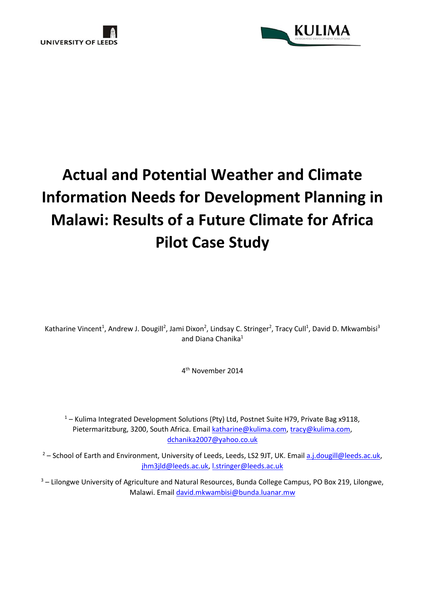



# **Actual and Potential Weather and Climate Information Needs for Development Planning in Malawi: Results of a Future Climate for Africa Pilot Case Study**

Katharine Vincent<sup>1</sup>, Andrew J. Dougill<sup>2</sup>, Jami Dixon<sup>2</sup>, Lindsay C. Stringer<sup>2</sup>, Tracy Cull<sup>1</sup>, David D. Mkwambisi<sup>3</sup> and Diana Chanika $1$ 

4 th November 2014

 $1 -$  Kulima Integrated Development Solutions (Pty) Ltd, Postnet Suite H79, Private Bag x9118, Pietermaritzburg, 3200, South Africa. Email katharine@kulima.com, tracy@kulima.com, dchanika2007@yahoo.co.uk

<sup>2</sup> – School of Earth and Environment, University of Leeds, Leeds, LS2 9JT, UK. Email a.j.dougill@leeds.ac.uk, jhm3jld@leeds.ac.uk, l.stringer@leeds.ac.uk

<sup>3</sup> – Lilongwe University of Agriculture and Natural Resources, Bunda College Campus, PO Box 219, Lilongwe, Malawi. Email david.mkwambisi@bunda.luanar.mw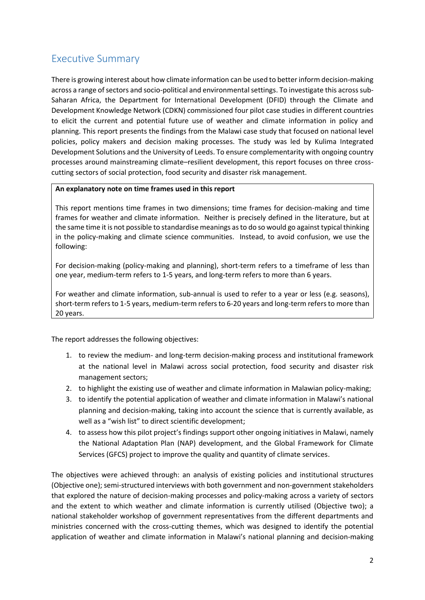## **Executive Summary**

There is growing interest about how climate information can be used to better inform decision-making across a range of sectors and socio-political and environmental settings. To investigate this across sub- Saharan Africa, the Department for International Development (DFID) through the Climate and Development Knowledge Network (CDKN) commissioned four pilot case studies in different countries to elicit the current and potential future use of weather and climate information in policy and planning. This report presents the findings from the Malawi case study that focused on national level policies, policy makers and decision making processes. The study was led by Kulima Integrated Development Solutions and the University of Leeds. To ensure complementarity with ongoing country processes around mainstreaming climate–resilient development, this report focuses on three cross cutting sectors of social protection, food security and disaster risk management.

#### **An explanatory note on time frames used in this report**

This report mentions time frames in two dimensions; time frames for decision-making and time frames for weather and climate information. Neither is precisely defined in the literature, but at the same time it is not possible to standardise meanings as to do so would go against typical thinking in the policy-making and climate science communities. Instead, to avoid confusion, we use the following:

For decision-making (policy-making and planning), short-term refers to a timeframe of less than one year, medium-term refers to 1-5 years, and long-term refers to more than 6 years.

For weather and climate information, sub-annual is used to refer to a year or less (e.g. seasons), short-term refers to 1-5 years, medium-term refers to 6-20 years and long-term refers to more than 20 years.

The report addresses the following objectives:

- 1. to review the medium- and long-term decision-making process and institutional framework at the national level in Malawi across social protection, food security and disaster risk management sectors;
- 2. to highlight the existing use of weather and climate information in Malawian policy-making;
- 3. to identify the potential application of weather and climate information in Malawi's national planning and decision-making, taking into account the science that is currently available, as well as a "wish list" to direct scientific development;
- 4. to assess how this pilot project's findings support other ongoing initiatives in Malawi, namely the National Adaptation Plan (NAP) development, and the Global Framework for Climate Services (GFCS) project to improve the quality and quantity of climate services.

The objectives were achieved through: an analysis of existing policies and institutional structures (Objective one); semi-structured interviews with both government and non-government stakeholders that explored the nature of decision-making processes and policy-making across a variety of sectors and the extent to which weather and climate information is currently utilised (Objective two); a national stakeholder workshop of government representatives from the different departments and ministries concerned with the cross-cutting themes, which was designed to identify the potential application of weather and climate information in Malawi's national planning and decision-making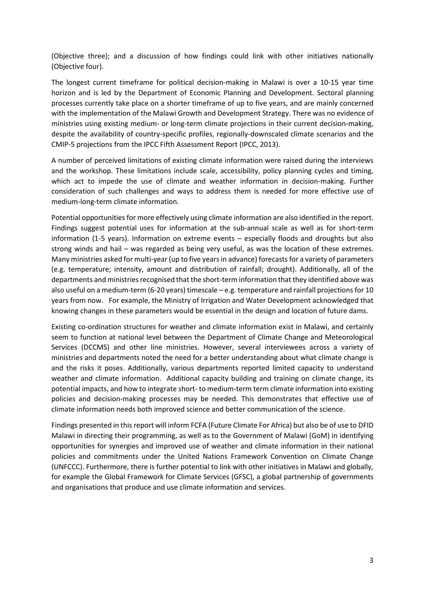(Objective three); and a discussion of how findings could link with other initiatives nationally (Objective four).

The longest current timeframe for political decision-making in Malawi is over a 10-15 year time horizon and is led by the Department of Economic Planning and Development. Sectoral planning processes currently take place on a shorter timeframe of up to five years, and are mainly concerned with the implementation of the Malawi Growth and Development Strategy. There was no evidence of ministries using existing medium- or long-term climate projections in their current decision-making, despite the availability of country-specific profiles, regionally-downscaled climate scenarios and the CMIP-5 projections from the IPCC Fifth Assessment Report (IPCC, 2013).

A number of perceived limitations of existing climate information were raised during the interviews and the workshop. These limitations include scale, accessibility, policy planning cycles and timing, which act to impede the use of climate and weather information in decision-making. Further consideration of such challenges and ways to address them is needed for more effective use of medium-long-term climate information.

Potential opportunities for more effectively using climate information are also identified in the report. Findings suggest potential uses for information at the sub-annual scale as well as for short-term information (1-5 years). Information on extreme events – especially floods and droughts but also strong winds and hail – was regarded as being very useful, as was the location of these extremes. Many ministries asked for multi-year (up to five years in advance) forecasts for a variety of parameters (e.g. temperature; intensity, amount and distribution of rainfall; drought). Additionally, all of the departments and ministries recognised that the short-term information that they identified above was also useful on a medium-term (6-20 years) timescale – e.g. temperature and rainfall projections for 10 years from now. For example, the Ministry of Irrigation and Water Development acknowledged that knowing changes in these parameters would be essential in the design and location of future dams.

Existing co-ordination structures for weather and climate information exist in Malawi, and certainly seem to function at national level between the Department of Climate Change and Meteorological Services (DCCMS) and other line ministries. However, several interviewees across a variety of ministries and departments noted the need for a better understanding about what climate change is and the risks it poses. Additionally, various departments reported limited capacity to understand weather and climate information. Additional capacity building and training on climate change, its potential impacts, and how to integrate short- to medium-term term climate information into existing policies and decision-making processes may be needed. This demonstrates that effective use of climate information needs both improved science and better communication of the science.

Findings presented in this report will inform FCFA (Future Climate For Africa) but also be of use to DFID Malawi in directing their programming, as well as to the Government of Malawi (GoM) in identifying opportunities for synergies and improved use of weather and climate information in their national policies and commitments under the United Nations Framework Convention on Climate Change (UNFCCC). Furthermore, there is further potential to link with other initiatives in Malawi and globally, for example the Global Framework for Climate Services (GFSC), a global partnership of governments and organisations that produce and use climate information and services.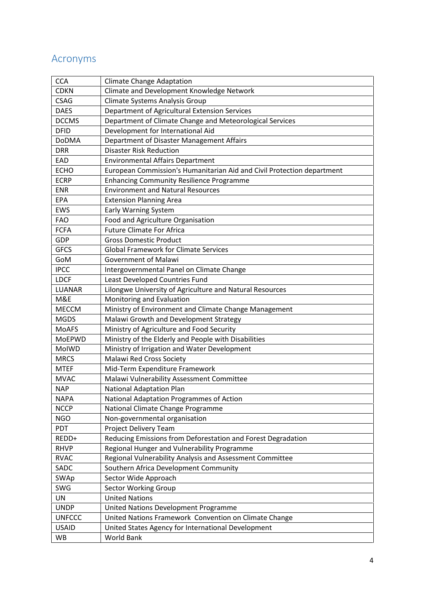## **Acronyms**

| <b>CCA</b>    | <b>Climate Change Adaptation</b>                                       |
|---------------|------------------------------------------------------------------------|
| <b>CDKN</b>   | Climate and Development Knowledge Network                              |
| <b>CSAG</b>   | Climate Systems Analysis Group                                         |
| <b>DAES</b>   | Department of Agricultural Extension Services                          |
| <b>DCCMS</b>  | Department of Climate Change and Meteorological Services               |
| <b>DFID</b>   | Development for International Aid                                      |
| <b>DoDMA</b>  | Department of Disaster Management Affairs                              |
| <b>DRR</b>    | <b>Disaster Risk Reduction</b>                                         |
| EAD           | <b>Environmental Affairs Department</b>                                |
| <b>ECHO</b>   | European Commission's Humanitarian Aid and Civil Protection department |
| <b>ECRP</b>   | <b>Enhancing Community Resilience Programme</b>                        |
| <b>ENR</b>    | <b>Environment and Natural Resources</b>                               |
| <b>EPA</b>    | <b>Extension Planning Area</b>                                         |
| <b>EWS</b>    | <b>Early Warning System</b>                                            |
| <b>FAO</b>    | Food and Agriculture Organisation                                      |
| <b>FCFA</b>   | <b>Future Climate For Africa</b>                                       |
| GDP           | <b>Gross Domestic Product</b>                                          |
| <b>GFCS</b>   | <b>Global Framework for Climate Services</b>                           |
| GoM           | <b>Government of Malawi</b>                                            |
| <b>IPCC</b>   | Intergovernmental Panel on Climate Change                              |
| <b>LDCF</b>   | Least Developed Countries Fund                                         |
| <b>LUANAR</b> | Lilongwe University of Agriculture and Natural Resources               |
| M&E           | Monitoring and Evaluation                                              |
| <b>MECCM</b>  | Ministry of Environment and Climate Change Management                  |
| <b>MGDS</b>   | Malawi Growth and Development Strategy                                 |
| <b>MoAFS</b>  | Ministry of Agriculture and Food Security                              |
| <b>MoEPWD</b> | Ministry of the Elderly and People with Disabilities                   |
| MoIWD         | Ministry of Irrigation and Water Development                           |
| <b>MRCS</b>   | <b>Malawi Red Cross Society</b>                                        |
| <b>MTEF</b>   | Mid-Term Expenditure Framework                                         |
| <b>MVAC</b>   | Malawi Vulnerability Assessment Committee                              |
| <b>NAP</b>    | <b>National Adaptation Plan</b>                                        |
| <b>NAPA</b>   | National Adaptation Programmes of Action                               |
| <b>NCCP</b>   | National Climate Change Programme                                      |
| <b>NGO</b>    | Non-governmental organisation                                          |
| <b>PDT</b>    | Project Delivery Team                                                  |
| REDD+         | Reducing Emissions from Deforestation and Forest Degradation           |
| <b>RHVP</b>   | Regional Hunger and Vulnerability Programme                            |
| <b>RVAC</b>   | Regional Vulnerability Analysis and Assessment Committee               |
| SADC          | Southern Africa Development Community                                  |
| SWAp          | Sector Wide Approach                                                   |
| SWG           | <b>Sector Working Group</b>                                            |
| UN            | <b>United Nations</b>                                                  |
| <b>UNDP</b>   | United Nations Development Programme                                   |
| <b>UNFCCC</b> | United Nations Framework Convention on Climate Change                  |
| <b>USAID</b>  | United States Agency for International Development                     |
| WB            | World Bank                                                             |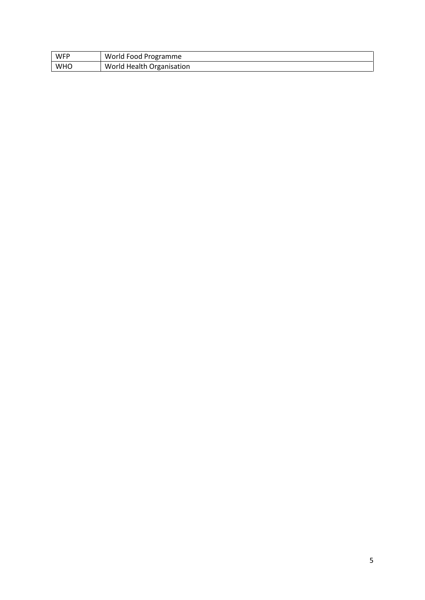| WFP        | World Food Programme      |
|------------|---------------------------|
| <b>WHO</b> | World Health Organisation |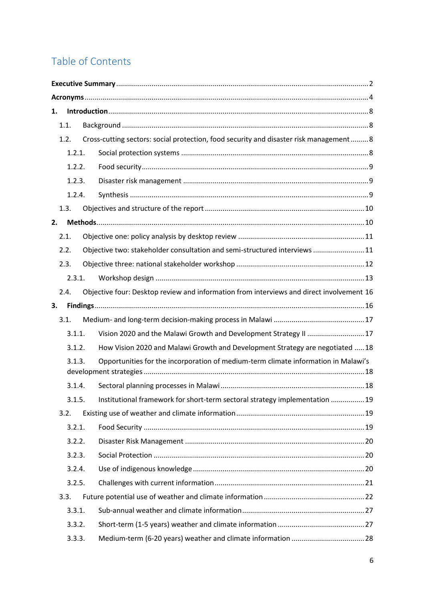## **Table of Contents**

| 1. |      |        |                                                                                          |  |
|----|------|--------|------------------------------------------------------------------------------------------|--|
|    | 1.1. |        |                                                                                          |  |
|    | 1.2. |        | Cross-cutting sectors: social protection, food security and disaster risk management8    |  |
|    |      | 1.2.1. |                                                                                          |  |
|    |      | 1.2.2. |                                                                                          |  |
|    |      | 1.2.3. |                                                                                          |  |
|    |      | 1.2.4. |                                                                                          |  |
|    | 1.3. |        |                                                                                          |  |
| 2. |      |        |                                                                                          |  |
|    | 2.1. |        |                                                                                          |  |
|    | 2.2. |        | Objective two: stakeholder consultation and semi-structured interviews  11               |  |
|    | 2.3. |        |                                                                                          |  |
|    |      | 2.3.1. |                                                                                          |  |
|    | 2.4. |        | Objective four: Desktop review and information from interviews and direct involvement 16 |  |
| 3. |      |        |                                                                                          |  |
|    | 3.1. |        |                                                                                          |  |
|    |      | 3.1.1. | Vision 2020 and the Malawi Growth and Development Strategy II  17                        |  |
|    |      | 3.1.2. | How Vision 2020 and Malawi Growth and Development Strategy are negotiated  18            |  |
|    |      | 3.1.3. | Opportunities for the incorporation of medium-term climate information in Malawi's       |  |
|    |      | 3.1.4. |                                                                                          |  |
|    |      |        | 3.1.5. Institutional framework for short-term sectoral strategy implementation  19       |  |
|    | 3.2. |        |                                                                                          |  |
|    |      | 3.2.1. |                                                                                          |  |
|    |      | 3.2.2. |                                                                                          |  |
|    |      | 3.2.3. |                                                                                          |  |
|    |      | 3.2.4. |                                                                                          |  |
|    |      | 3.2.5. |                                                                                          |  |
|    | 3.3. |        |                                                                                          |  |
|    |      | 3.3.1. |                                                                                          |  |
|    |      | 3.3.2. |                                                                                          |  |
|    |      | 3.3.3. |                                                                                          |  |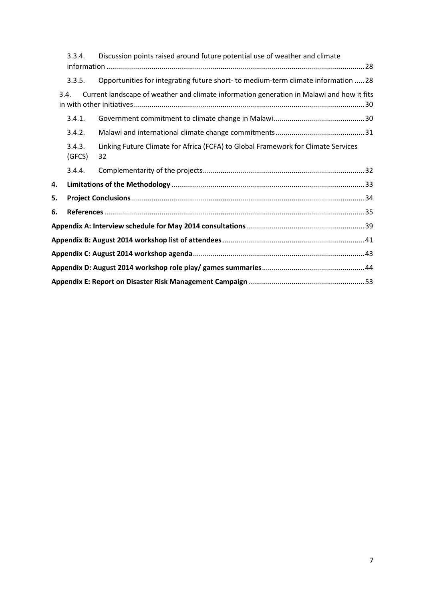|    | 3.3.4.           | Discussion points raised around future potential use of weather and climate               |  |  |  |
|----|------------------|-------------------------------------------------------------------------------------------|--|--|--|
|    | 3.3.5.           | Opportunities for integrating future short- to medium-term climate information  28        |  |  |  |
|    | 3.4.             | Current landscape of weather and climate information generation in Malawi and how it fits |  |  |  |
|    | 3.4.1.           |                                                                                           |  |  |  |
|    | 3.4.2.           |                                                                                           |  |  |  |
|    | 3.4.3.<br>(GFCS) | Linking Future Climate for Africa (FCFA) to Global Framework for Climate Services<br>32   |  |  |  |
|    | 3.4.4.           |                                                                                           |  |  |  |
| 4. |                  |                                                                                           |  |  |  |
| 5. |                  |                                                                                           |  |  |  |
| 6. |                  |                                                                                           |  |  |  |
|    |                  | Appendix A: Interview schedule for May 2014 consultations…………………………………………………………………39      |  |  |  |
|    |                  |                                                                                           |  |  |  |
|    |                  |                                                                                           |  |  |  |
|    |                  |                                                                                           |  |  |  |
|    |                  |                                                                                           |  |  |  |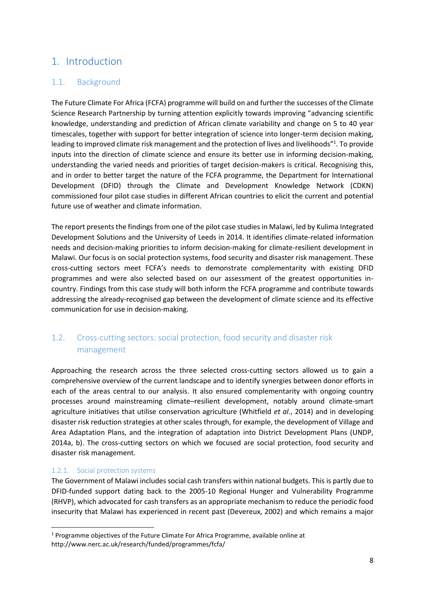## **1. Introduction**

### **1.1. Background**

The Future Climate For Africa (FCFA) programme will build on and further the successes of the Climate Science Research Partnership by turning attention explicitly towards improving "advancing scientific knowledge, understanding and prediction of African climate variability and change on 5 to 40 year timescales, together with support for better integration of science into longer-term decision making, leading to improved climate risk management and the protection of lives and livelihoods"<sup>1</sup>. To provide inputs into the direction of climate science and ensure its better use in informing decision-making, understanding the varied needs and priorities of target decision-makers is critical. Recognising this, and in order to better target the nature of the FCFA programme, the Department for International Development (DFID) through the Climate and Development Knowledge Network (CDKN) commissioned four pilot case studies in different African countries to elicit the current and potential future use of weather and climate information.

The report presents the findings from one of the pilot case studies in Malawi, led by Kulima Integrated Development Solutions and the University of Leeds in 2014. It identifies climate-related information needs and decision-making priorities to inform decision-making for climate-resilient development in Malawi. Our focus is on social protection systems, food security and disaster risk management. These cross-cutting sectors meet FCFA's needs to demonstrate complementarity with existing DFID programmes and were also selected based on our assessment of the greatest opportunities in country. Findings from this case study will both inform the FCFA programme and contribute towards addressing the already-recognised gap between the development of climate science and its effective communication for use in decision-making.

## **1.2. Cross-cutting sectors: social protection, food security and disaster risk management**

Approaching the research across the three selected cross-cutting sectors allowed us to gain a comprehensive overview of the current landscape and to identify synergies between donor efforts in each of the areas central to our analysis. It also ensured complementarity with ongoing country processes around mainstreaming climate–resilient development, notably around climate-smart agriculture initiatives that utilise conservation agriculture (Whitfield *et al*., 2014) and in developing disaster risk reduction strategies at other scales through, for example, the development of Village and Area Adaptation Plans, and the integration of adaptation into District Development Plans (UNDP, 2014a, b). The cross-cutting sectors on which we focused are social protection, food security and disaster risk management.

#### **1.2.1. Social protection systems**

The Government of Malawi includes social cash transfers within national budgets. This is partly due to DFID-funded support dating back to the 2005-10 Regional Hunger and Vulnerability Programme (RHVP), which advocated for cash transfers as an appropriate mechanism to reduce the periodic food insecurity that Malawi has experienced in recent past (Devereux, 2002) and which remains a major

<sup>1</sup> Programme objectives of the Future Climate For Africa Programme, available online at http://www.nerc.ac.uk/research/funded/programmes/fcfa/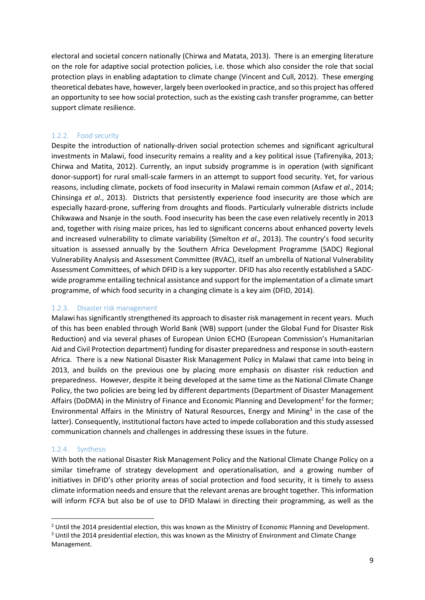electoral and societal concern nationally (Chirwa and Matata, 2013). There is an emerging literature on the role for adaptive social protection policies, i.e. those which also consider the role that social protection plays in enabling adaptation to climate change (Vincent and Cull, 2012). These emerging theoretical debates have, however, largely been overlooked in practice, and so this project has offered an opportunity to see how social protection, such as the existing cash transfer programme, can better support climate resilience.

#### **1.2.2. Food security**

Despite the introduction of nationally-driven social protection schemes and significant agricultural investments in Malawi, food insecurity remains a reality and a key political issue (Tafirenyika, 2013; Chirwa and Matita, 2012). Currently, an input subsidy programme is in operation (with significant donor-support) for rural small-scale farmers in an attempt to support food security. Yet, for various reasons, including climate, pockets of food insecurity in Malawi remain common (Asfaw *et al*., 2014; Chinsinga *et al*., 2013). Districts that persistently experience food insecurity are those which are especially hazard-prone, suffering from droughts and floods. Particularly vulnerable districts include Chikwawa and Nsanje in the south. Food insecurity has been the case even relatively recently in 2013 and, together with rising maize prices, has led to significant concerns about enhanced poverty levels and increased vulnerability to climate variability (Simelton *et al*., 2013). The country's food security situation is assessed annually by the Southern Africa Development Programme (SADC) Regional Vulnerability Analysis and Assessment Committee (RVAC), itself an umbrella of National Vulnerability Assessment Committees, of which DFID is a key supporter. DFID has also recently established a SADC wide programme entailing technical assistance and support for the implementation of a climate smart programme, of which food security in a changing climate is a key aim (DFID, 2014).

#### **1.2.3. Disaster risk management**

Malawi has significantly strengthened its approach to disaster risk management in recent years. Much of this has been enabled through World Bank (WB) support (under the Global Fund for Disaster Risk Reduction) and via several phases of European Union ECHO (European Commission's Humanitarian Aid and Civil Protection department) funding for disaster preparedness and response in south-eastern Africa. There is a new National Disaster Risk Management Policy in Malawi that came into being in 2013, and builds on the previous one by placing more emphasis on disaster risk reduction and preparedness. However, despite it being developed at the same time as the National Climate Change Policy, the two policies are being led by different departments (Department of Disaster Management Affairs (DoDMA) in the Ministry of Finance and Economic Planning and Development<sup>2</sup> for the former; Environmental Affairs in the Ministry of Natural Resources, Energy and Mining<sup>3</sup> in the case of the latter). Consequently, institutional factors have acted to impede collaboration and this study assessed communication channels and challenges in addressing these issues in the future.

#### **1.2.4. Synthesis**

With both the national Disaster Risk Management Policy and the National Climate Change Policy on a similar timeframe of strategy development and operationalisation, and a growing number of initiatives in DFID's other priority areas of social protection and food security, it is timely to assess climate information needs and ensure that the relevant arenas are brought together. This information will inform FCFA but also be of use to DFID Malawi in directing their programming, as well as the

<sup>&</sup>lt;sup>2</sup> Until the 2014 presidential election, this was known as the Ministry of Economic Planning and Development. <sup>3</sup> Until the 2014 presidential election, this was known as the Ministry of Environment and Climate Change

Management.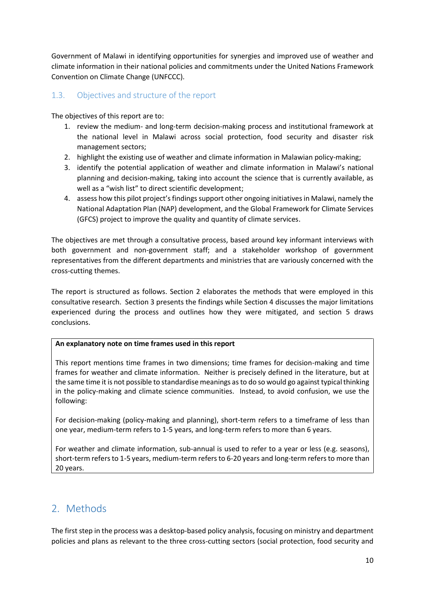Government of Malawi in identifying opportunities for synergies and improved use of weather and climate information in their national policies and commitments under the United Nations Framework Convention on Climate Change (UNFCCC).

#### **1.3. Objectives and structure of the report**

The objectives of this report are to:

- 1. review the medium- and long-term decision-making process and institutional framework at the national level in Malawi across social protection, food security and disaster risk management sectors;
- 2. highlight the existing use of weather and climate information in Malawian policy-making;
- 3. identify the potential application of weather and climate information in Malawi's national planning and decision-making, taking into account the science that is currently available, as well as a "wish list" to direct scientific development;
- 4. assess how this pilot project's findings support other ongoing initiatives in Malawi, namely the National Adaptation Plan (NAP) development, and the Global Framework for Climate Services (GFCS) project to improve the quality and quantity of climate services.

The objectives are met through a consultative process, based around key informant interviews with both government and non-government staff; and a stakeholder workshop of government representatives from the different departments and ministries that are variously concerned with the cross-cutting themes.

The report is structured as follows. Section 2 elaborates the methods that were employed in this consultative research. Section 3 presents the findings while Section 4 discusses the major limitations experienced during the process and outlines how they were mitigated, and section 5 draws conclusions.

#### **An explanatory note on time frames used in this report**

This report mentions time frames in two dimensions; time frames for decision-making and time frames for weather and climate information. Neither is precisely defined in the literature, but at the same time it is not possible to standardise meanings as to do so would go against typical thinking in the policy-making and climate science communities. Instead, to avoid confusion, we use the following:

For decision-making (policy-making and planning), short-term refers to a timeframe of less than one year, medium-term refers to 1-5 years, and long-term refers to more than 6 years.

For weather and climate information, sub-annual is used to refer to a year or less (e.g. seasons), short-term refers to 1-5 years, medium-term refers to 6-20 years and long-term refers to more than 20 years.

## **2. Methods**

The first step in the process was a desktop-based policy analysis, focusing on ministry and department policies and plans as relevant to the three cross-cutting sectors (social protection, food security and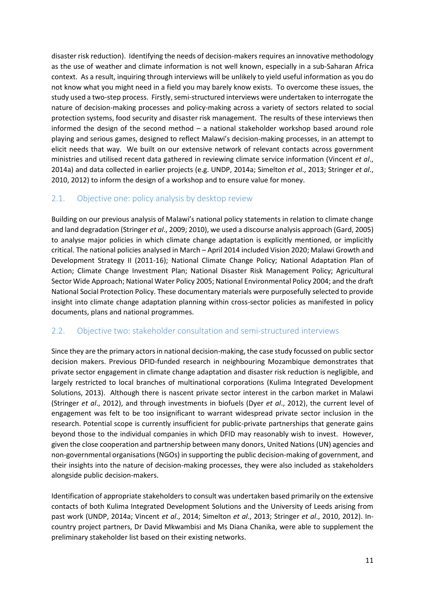disaster risk reduction). Identifying the needs of decision-makers requires an innovative methodology as the use of weather and climate information is not well known, especially in a sub-Saharan Africa context. As a result, inquiring through interviews will be unlikely to yield useful information as you do not know what you might need in a field you may barely know exists. To overcome these issues, the study used a two-step process. Firstly, semi-structured interviews were undertaken to interrogate the nature of decision-making processes and policy-making across a variety of sectors related to social protection systems, food security and disaster risk management. The results of these interviews then informed the design of the second method – a national stakeholder workshop based around role playing and serious games, designed to reflect Malawi's decision-making processes, in an attempt to elicit needs that way. We built on our extensive network of relevant contacts across government ministries and utilised recent data gathered in reviewing climate service information (Vincent *et al*., 2014a) and data collected in earlier projects (e.g. UNDP, 2014a; Simelton *et al*., 2013; Stringer *et al*., 2010, 2012) to inform the design of a workshop and to ensure value for money.

### **2.1. Objective one: policy analysis by desktop review**

Building on our previous analysis of Malawi's national policy statements in relation to climate change and land degradation (Stringer *et al*., 2009; 2010), we used a discourse analysis approach (Gard, 2005) to analyse major policies in which climate change adaptation is explicitly mentioned, or implicitly critical. The national policies analysed in March – April 2014 included Vision 2020; Malawi Growth and Development Strategy II (2011-16); National Climate Change Policy; National Adaptation Plan of Action; Climate Change Investment Plan; National Disaster Risk Management Policy; Agricultural Sector Wide Approach; National Water Policy 2005; National Environmental Policy 2004; and the draft National Social Protection Policy. These documentary materials were purposefully selected to provide insight into climate change adaptation planning within cross-sector policies as manifested in policy documents, plans and national programmes.

#### **2.2. Objective two: stakeholder consultation and semi-structured interviews**

Since they are the primary actors in national decision-making, the case study focussed on public sector decision makers. Previous DFID-funded research in neighbouring Mozambique demonstrates that private sector engagement in climate change adaptation and disaster risk reduction is negligible, and largely restricted to local branches of multinational corporations (Kulima Integrated Development Solutions, 2013). Although there is nascent private sector interest in the carbon market in Malawi (Stringer *et al*., 2012), and through investments in biofuels (Dyer *et al*., 2012), the current level of engagement was felt to be too insignificant to warrant widespread private sector inclusion in the research. Potential scope is currently insufficient for public-private partnerships that generate gains beyond those to the individual companies in which DFID may reasonably wish to invest. However, given the close cooperation and partnership between many donors, United Nations (UN) agencies and non-governmental organisations (NGOs) in supporting the public decision-making of government, and their insights into the nature of decision-making processes, they were also included as stakeholders alongside public decision-makers.

Identification of appropriate stakeholders to consult was undertaken based primarily on the extensive contacts of both Kulima Integrated Development Solutions and the University of Leeds arising from past work (UNDP, 2014a; Vincent *et al*., 2014; Simelton *et al*., 2013; Stringer *et al*., 2010, 2012). In country project partners, Dr David Mkwambisi and Ms Diana Chanika, were able to supplement the preliminary stakeholder list based on their existing networks.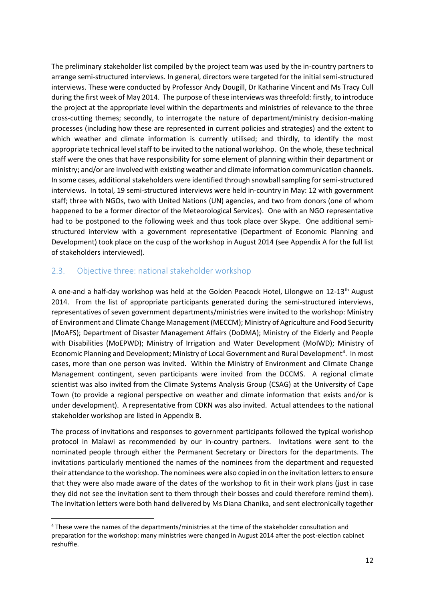The preliminary stakeholder list compiled by the project team was used by the in-country partners to arrange semi-structured interviews. In general, directors were targeted for the initial semi-structured interviews. These were conducted by Professor Andy Dougill, Dr Katharine Vincent and Ms Tracy Cull during the first week of May 2014. The purpose of these interviews was threefold: firstly, to introduce the project at the appropriate level within the departments and ministries of relevance to the three cross-cutting themes; secondly, to interrogate the nature of department/ministry decision-making processes (including how these are represented in current policies and strategies) and the extent to which weather and climate information is currently utilised; and thirdly, to identify the most appropriate technical level staff to be invited to the national workshop. On the whole, these technical staff were the ones that have responsibility for some element of planning within their department or ministry; and/or are involved with existing weather and climate information communication channels. In some cases, additional stakeholders were identified through snowball sampling for semi-structured interviews. In total, 19 semi-structured interviews were held in-country in May: 12 with government staff; three with NGOs, two with United Nations (UN) agencies, and two from donors (one of whom happened to be a former director of the Meteorological Services). One with an NGO representative had to be postponed to the following week and thus took place over Skype. One additional semi structured interview with a government representative (Department of Economic Planning and Development) took place on the cusp of the workshop in August 2014 (see Appendix A for the full list of stakeholders interviewed).

#### **2.3. Objective three: national stakeholder workshop**

A one-and a half-day workshop was held at the Golden Peacock Hotel, Lilongwe on 12-13<sup>th</sup> August 2014. From the list of appropriate participants generated during the semi-structured interviews, representatives of seven government departments/ministries were invited to the workshop: Ministry of Environment and Climate Change Management (MECCM); Ministry of Agriculture and Food Security (MoAFS); Department of Disaster Management Affairs (DoDMA); Ministry of the Elderly and People with Disabilities (MoEPWD); Ministry of Irrigation and Water Development (MoIWD); Ministry of Economic Planning and Development; Ministry of Local Government and Rural Development<sup>4</sup>. In most cases, more than one person was invited. Within the Ministry of Environment and Climate Change Management contingent, seven participants were invited from the DCCMS. A regional climate scientist was also invited from the Climate Systems Analysis Group (CSAG) at the University of Cape Town (to provide a regional perspective on weather and climate information that exists and/or is under development). A representative from CDKN was also invited. Actual attendees to the national stakeholder workshop are listed in Appendix B.

The process of invitations and responses to government participants followed the typical workshop protocol in Malawi as recommended by our in-country partners. Invitations were sent to the nominated people through either the Permanent Secretary or Directors for the departments. The invitations particularly mentioned the names of the nominees from the department and requested their attendance to the workshop. The nominees were also copied in on the invitation letters to ensure that they were also made aware of the dates of the workshop to fit in their work plans (just in case they did not see the invitation sent to them through their bosses and could therefore remind them). The invitation letters were both hand delivered by Ms Diana Chanika, and sent electronically together

<sup>4</sup> These were the names of the departments/ministries at the time of the stakeholder consultation and preparation for the workshop: many ministries were changed in August 2014 after the post-election cabinet reshuffle.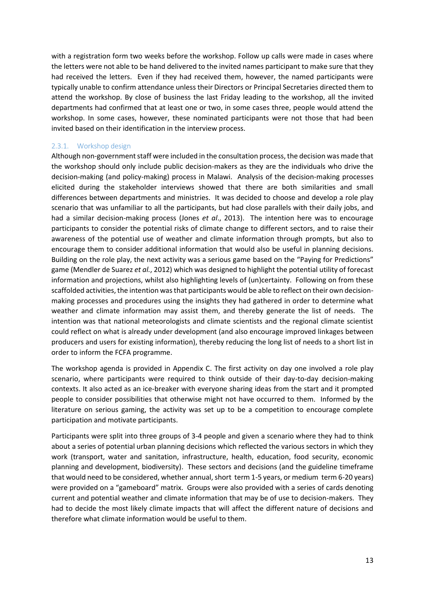with a registration form two weeks before the workshop. Follow up calls were made in cases where the letters were not able to be hand delivered to the invited names participant to make sure that they had received the letters. Even if they had received them, however, the named participants were typically unable to confirm attendance unless their Directors or Principal Secretaries directed them to attend the workshop. By close of business the last Friday leading to the workshop, all the invited departments had confirmed that at least one or two, in some cases three, people would attend the workshop. In some cases, however, these nominated participants were not those that had been invited based on their identification in the interview process.

#### **2.3.1. Workshop design**

Although non-government staff were included in the consultation process, the decision was made that the workshop should only include public decision-makers as they are the individuals who drive the decision-making (and policy-making) process in Malawi. Analysis of the decision-making processes elicited during the stakeholder interviews showed that there are both similarities and small differences between departments and ministries. It was decided to choose and develop a role play scenario that was unfamiliar to all the participants, but had close parallels with their daily jobs, and had a similar decision-making process (Jones *et al*., 2013). The intention here was to encourage participants to consider the potential risks of climate change to different sectors, and to raise their awareness of the potential use of weather and climate information through prompts, but also to encourage them to consider additional information that would also be useful in planning decisions. Building on the role play, the next activity was a serious game based on the "Paying for Predictions" game (Mendler de Suarez *et al.*, 2012) which was designed to highlight the potential utility of forecast information and projections, whilst also highlighting levels of (un)certainty. Following on from these scaffolded activities, the intention was that participants would be able to reflect on their own decision making processes and procedures using the insights they had gathered in order to determine what weather and climate information may assist them, and thereby generate the list of needs. The intention was that national meteorologists and climate scientists and the regional climate scientist could reflect on what is already under development (and also encourage improved linkages between producers and users for existing information), thereby reducing the long list of needs to a short list in order to inform the FCFA programme.

The workshop agenda is provided in Appendix C. The first activity on day one involved a role play scenario, where participants were required to think outside of their day-to-day decision-making contexts. It also acted as an ice-breaker with everyone sharing ideas from the start and it prompted people to consider possibilities that otherwise might not have occurred to them. Informed by the literature on serious gaming, the activity was set up to be a competition to encourage complete participation and motivate participants.

Participants were split into three groups of 3-4 people and given a scenario where they had to think about a series of potential urban planning decisions which reflected the various sectors in which they work (transport, water and sanitation, infrastructure, health, education, food security, economic planning and development, biodiversity). These sectors and decisions (and the guideline timeframe that would need to be considered, whether annual, short term 1-5 years, or medium term 6-20 years) were provided on a "gameboard" matrix. Groups were also provided with a series of cards denoting current and potential weather and climate information that may be of use to decision-makers. They had to decide the most likely climate impacts that will affect the different nature of decisions and therefore what climate information would be useful to them.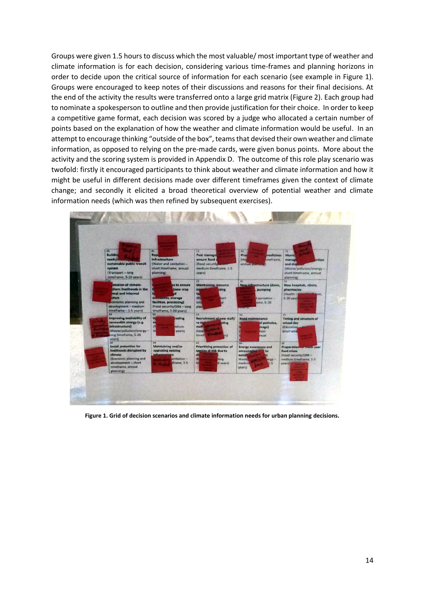Groups were given 1.5 hours to discuss which the most valuable/ most important type of weather and climate information is for each decision, considering various time-frames and planning horizons in order to decide upon the critical source of information for each scenario (see example in Figure 1). Groups were encouraged to keep notes of their discussions and reasons for their final decisions. At the end of the activity the results were transferred onto a large grid matrix (Figure 2). Each group had to nominate a spokesperson to outline and then provide justification for their choice. In order to keep a competitive game format, each decision was scored by a judge who allocated a certain number of points based on the explanation of how the weather and climate information would be useful. In an attempt to encourage thinking "outside of the box", teams that devised their own weather and climate information, as opposed to relying on the pre-made cards, were given bonus points. More about the activity and the scoring system is provided in Appendix D. The outcome of this role play scenario was twofold: firstly it encouraged participants to think about weather and climate information and how it might be useful in different decisions made over different timeframes given the context of climate change; and secondly it elicited a broad theoretical overview of potential weather and climate information needs (which was then refined by subsequent exercises).



**Figure 1. Grid of decision scenarios and climate information needs for urban planning decisions.**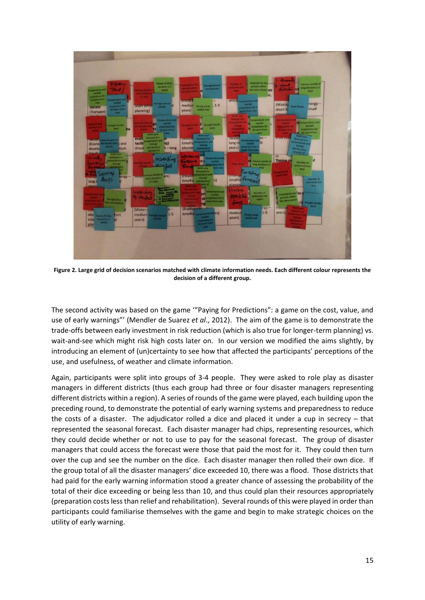

**Figure 2. Large grid of decision scenarios matched with climate information needs. Each different colour represents the decision of a different group.**

The second activity was based on the game '"Paying for Predictions": a game on the cost, value, and use of early warnings"' (Mendler de Suarez *et al*., 2012). The aim of the game is to demonstrate the trade-offs between early investment in risk reduction (which is also true for longer-term planning) vs. wait-and-see which might risk high costs later on. In our version we modified the aims slightly, by introducing an element of (un)certainty to see how that affected the participants' perceptions of the use, and usefulness, of weather and climate information.

Again, participants were split into groups of 3-4 people. They were asked to role play as disaster managers in different districts (thus each group had three or four disaster managers representing different districts within a region). A series of rounds of the game were played, each building upon the preceding round, to demonstrate the potential of early warning systems and preparedness to reduce the costs of a disaster. The adjudicator rolled a dice and placed it under a cup in secrecy – that represented the seasonal forecast. Each disaster manager had chips, representing resources, which they could decide whether or not to use to pay for the seasonal forecast. The group of disaster managers that could access the forecast were those that paid the most for it. They could then turn over the cup and see the number on the dice. Each disaster manager then rolled their own dice. If the group total of all the disaster managers' dice exceeded 10, there was a flood. Those districts that had paid for the early warning information stood a greater chance of assessing the probability of the total of their dice exceeding or being less than 10, and thus could plan their resources appropriately (preparation costs less than relief and rehabilitation). Several rounds of this were played in order than participants could familiarise themselves with the game and begin to make strategic choices on the utility of early warning.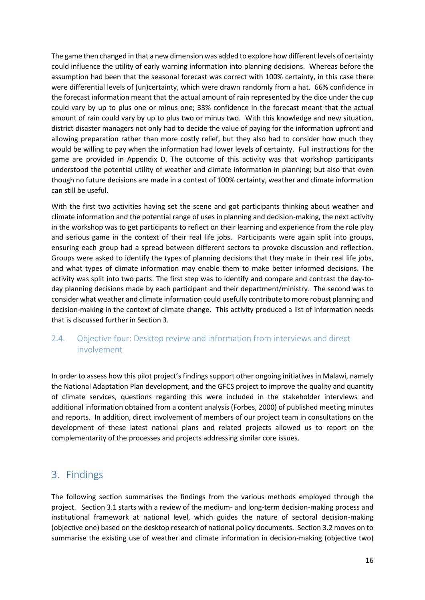The game then changed in that a new dimension was added to explore how different levels of certainty could influence the utility of early warning information into planning decisions. Whereas before the assumption had been that the seasonal forecast was correct with 100% certainty, in this case there were differential levels of (un)certainty, which were drawn randomly from a hat. 66% confidence in the forecast information meant that the actual amount of rain represented by the dice under the cup could vary by up to plus one or minus one; 33% confidence in the forecast meant that the actual amount of rain could vary by up to plus two or minus two. With this knowledge and new situation, district disaster managers not only had to decide the value of paying for the information upfront and allowing preparation rather than more costly relief, but they also had to consider how much they would be willing to pay when the information had lower levels of certainty. Full instructions for the game are provided in Appendix D. The outcome of this activity was that workshop participants understood the potential utility of weather and climate information in planning; but also that even though no future decisions are made in a context of 100% certainty, weather and climate information can still be useful.

With the first two activities having set the scene and got participants thinking about weather and climate information and the potential range of uses in planning and decision-making, the next activity in the workshop was to get participants to reflect on their learning and experience from the role play and serious game in the context of their real life jobs. Participants were again split into groups, ensuring each group had a spread between different sectors to provoke discussion and reflection. Groups were asked to identify the types of planning decisions that they make in their real life jobs, and what types of climate information may enable them to make better informed decisions. The activity was split into two parts. The first step was to identify and compare and contrast the day-to day planning decisions made by each participant and their department/ministry. The second was to consider what weather and climate information could usefully contribute to more robust planning and decision-making in the context of climate change. This activity produced a list of information needs that is discussed further in Section 3.

### **2.4. Objective four: Desktop review and information from interviews and direct involvement**

In order to assess how this pilot project's findings support other ongoing initiatives in Malawi, namely the National Adaptation Plan development, and the GFCS project to improve the quality and quantity of climate services, questions regarding this were included in the stakeholder interviews and additional information obtained from a content analysis (Forbes, 2000) of published meeting minutes and reports. In addition, direct involvement of members of our project team in consultations on the development of these latest national plans and related projects allowed us to report on the complementarity of the processes and projects addressing similar core issues.

## **3. Findings**

The following section summarises the findings from the various methods employed through the project. Section 3.1 starts with a review of the medium- and long-term decision-making process and institutional framework at national level, which guides the nature of sectoral decision-making (objective one) based on the desktop research of national policy documents. Section 3.2 moves on to summarise the existing use of weather and climate information in decision-making (objective two)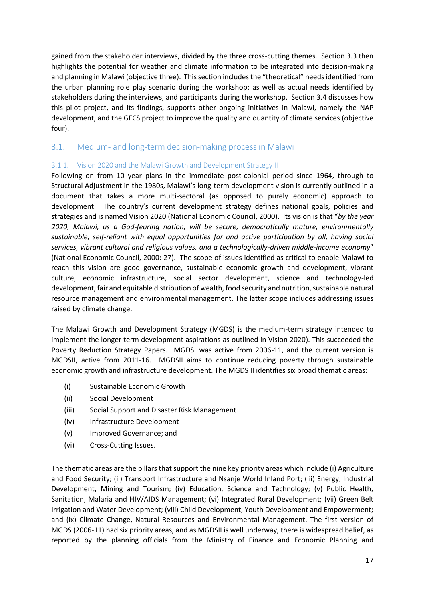gained from the stakeholder interviews, divided by the three cross-cutting themes. Section 3.3 then highlights the potential for weather and climate information to be integrated into decision-making and planning in Malawi (objective three). This section includes the "theoretical" needs identified from the urban planning role play scenario during the workshop; as well as actual needs identified by stakeholders during the interviews, and participants during the workshop. Section 3.4 discusses how this pilot project, and its findings, supports other ongoing initiatives in Malawi, namely the NAP development, and the GFCS project to improve the quality and quantity of climate services (objective four).

#### **3.1. Medium- and long-term decision-making process in Malawi**

#### **3.1.1. Vision 2020 and the Malawi Growth and Development Strategy II**

Following on from 10 year plans in the immediate post-colonial period since 1964, through to Structural Adjustment in the 1980s, Malawi's long-term development vision is currently outlined in a document that takes a more multi-sectoral (as opposed to purely economic) approach to development. The country's current development strategy defines national goals, policies and strategies and is named Vision 2020 (National Economic Council, 2000). Its vision is that "*by the year 2020, Malawi, as a God-fearing nation, will be secure, democratically mature, environmentally sustainable, self-reliant with equal opportunities for and active participation by all, having social services, vibrant cultural and religious values, and a technologically-driven middle-income economy*" (National Economic Council, 2000: 27). The scope of issues identified as critical to enable Malawi to reach this vision are good governance, sustainable economic growth and development, vibrant culture, economic infrastructure, social sector development, science and technology-led development, fair and equitable distribution of wealth, food security and nutrition, sustainable natural resource management and environmental management. The latter scope includes addressing issues raised by climate change.

The Malawi Growth and Development Strategy (MGDS) is the medium-term strategy intended to implement the longer term development aspirations as outlined in Vision 2020). This succeeded the Poverty Reduction Strategy Papers. MGDSI was active from 2006-11, and the current version is MGDSII, active from 2011-16. MGDSII aims to continue reducing poverty through sustainable economic growth and infrastructure development. The MGDS II identifies six broad thematic areas:

- (i) Sustainable Economic Growth
- (ii) Social Development
- (iii) Social Support and Disaster Risk Management
- (iv) Infrastructure Development
- (v) Improved Governance; and
- (vi) Cross-Cutting Issues.

The thematic areas are the pillars that support the nine key priority areas which include (i) Agriculture and Food Security; (ii) Transport Infrastructure and Nsanje World Inland Port; (iii) Energy, Industrial Development, Mining and Tourism; (iv) Education, Science and Technology; (v) Public Health, Sanitation, Malaria and HIV/AIDS Management; (vi) Integrated Rural Development; (vii) Green Belt Irrigation and Water Development; (viii) Child Development, Youth Development and Empowerment; and (ix) Climate Change, Natural Resources and Environmental Management. The first version of MGDS (2006-11) had six priority areas, and as MGDSII is well underway, there is widespread belief, as reported by the planning officials from the Ministry of Finance and Economic Planning and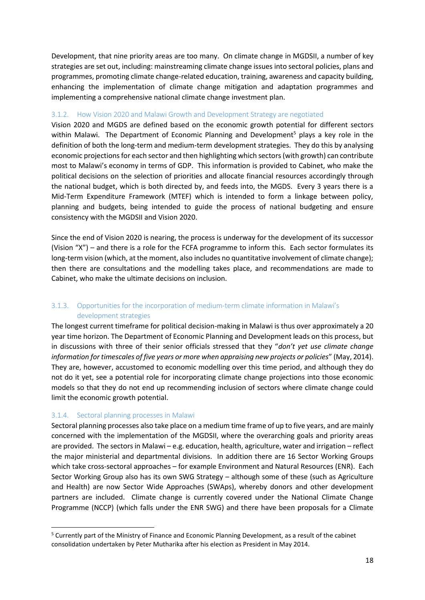Development, that nine priority areas are too many. On climate change in MGDSII, a number of key strategies are set out, including: mainstreaming climate change issues into sectoral policies, plans and programmes, promoting climate change-related education, training, awareness and capacity building, enhancing the implementation of climate change mitigation and adaptation programmes and implementing a comprehensive national climate change investment plan.

#### **3.1.2. How Vision 2020 and Malawi Growth and Development Strategy are negotiated**

Vision 2020 and MGDS are defined based on the economic growth potential for different sectors within Malawi. The Department of Economic Planning and Development<sup>5</sup> plays a key role in the definition of both the long-term and medium-term development strategies. They do this by analysing economic projections for each sector and then highlighting which sectors (with growth) can contribute most to Malawi's economy in terms of GDP. This information is provided to Cabinet, who make the political decisions on the selection of priorities and allocate financial resources accordingly through the national budget, which is both directed by, and feeds into, the MGDS. Every 3 years there is a Mid-Term Expenditure Framework (MTEF) which is intended to form a linkage between policy, planning and budgets, being intended to guide the process of national budgeting and ensure consistency with the MGDSII and Vision 2020.

Since the end of Vision 2020 is nearing, the process is underway for the development of its successor (Vision "X") – and there is a role for the FCFA programme to inform this. Each sector formulates its long-term vision (which, at the moment, also includes no quantitative involvement of climate change); then there are consultations and the modelling takes place, and recommendations are made to Cabinet, who make the ultimate decisions on inclusion.

#### **3.1.3. Opportunities for the incorporation of medium-term climate information in Malawi's development strategies**

The longest current timeframe for political decision-making in Malawi is thus over approximately a 20 year time horizon. The Department of Economic Planning and Development leads on this process, but in discussions with three of their senior officials stressed that they "*don't yet use climate change information for timescales of five years or more when appraising new projects or policies*" (May, 2014). They are, however, accustomed to economic modelling over this time period, and although they do not do it yet, see a potential role for incorporating climate change projections into those economic models so that they do not end up recommending inclusion of sectors where climate change could limit the economic growth potential.

#### **3.1.4. Sectoral planning processes in Malawi**

Sectoral planning processes also take place on a medium time frame of up to five years, and are mainly concerned with the implementation of the MGDSII, where the overarching goals and priority areas are provided. The sectors in Malawi – e.g. education, health, agriculture, water and irrigation – reflect the major ministerial and departmental divisions. In addition there are 16 Sector Working Groups which take cross-sectoral approaches – for example Environment and Natural Resources (ENR). Each Sector Working Group also has its own SWG Strategy – although some of these (such as Agriculture and Health) are now Sector Wide Approaches (SWAps), whereby donors and other development partners are included. Climate change is currently covered under the National Climate Change Programme (NCCP) (which falls under the ENR SWG) and there have been proposals for a Climate

<sup>5</sup> Currently part of the Ministry of Finance and Economic Planning Development, as a result of the cabinet consolidation undertaken by Peter Mutharika after his election as President in May 2014.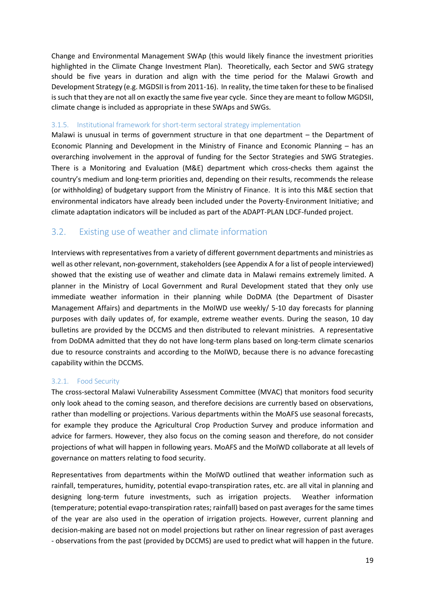Change and Environmental Management SWAp (this would likely finance the investment priorities highlighted in the Climate Change Investment Plan). Theoretically, each Sector and SWG strategy should be five years in duration and align with the time period for the Malawi Growth and Development Strategy (e.g. MGDSII is from 2011-16). In reality, the time taken for these to be finalised is such that they are not all on exactly the same five year cycle. Since they are meant to follow MGDSII, climate change is included as appropriate in these SWAps and SWGs.

#### **3.1.5. Institutional framework for short-term sectoral strategy implementation**

Malawi is unusual in terms of government structure in that one department – the Department of Economic Planning and Development in the Ministry of Finance and Economic Planning – has an overarching involvement in the approval of funding for the Sector Strategies and SWG Strategies. There is a Monitoring and Evaluation (M&E) department which cross-checks them against the country's medium and long-term priorities and, depending on their results, recommends the release (or withholding) of budgetary support from the Ministry of Finance. It is into this M&E section that environmental indicators have already been included under the Poverty-Environment Initiative; and climate adaptation indicators will be included as part of the ADAPT-PLAN LDCF-funded project.

### **3.2. Existing use of weather and climate information**

Interviews with representatives from a variety of different government departments and ministries as well as other relevant, non-government, stakeholders (see Appendix A for a list of people interviewed) showed that the existing use of weather and climate data in Malawi remains extremely limited. A planner in the Ministry of Local Government and Rural Development stated that they only use immediate weather information in their planning while DoDMA (the Department of Disaster Management Affairs) and departments in the MoIWD use weekly/ 5-10 day forecasts for planning purposes with daily updates of, for example, extreme weather events. During the season, 10 day bulletins are provided by the DCCMS and then distributed to relevant ministries. A representative from DoDMA admitted that they do not have long-term plans based on long-term climate scenarios due to resource constraints and according to the MoIWD, because there is no advance forecasting capability within the DCCMS.

#### **3.2.1. Food Security**

The cross-sectoral Malawi Vulnerability Assessment Committee (MVAC) that monitors food security only look ahead to the coming season, and therefore decisions are currently based on observations, rather than modelling or projections. Various departments within the MoAFS use seasonal forecasts, for example they produce the Agricultural Crop Production Survey and produce information and advice for farmers. However, they also focus on the coming season and therefore, do not consider projections of what will happen in following years. MoAFS and the MoIWD collaborate at all levels of governance on matters relating to food security.

Representatives from departments within the MoIWD outlined that weather information such as rainfall, temperatures, humidity, potential evapo-transpiration rates, etc. are all vital in planning and designing long-term future investments, such as irrigation projects. Weather information (temperature; potential evapo-transpiration rates; rainfall) based on past averages for the same times of the year are also used in the operation of irrigation projects. However, current planning and decision-making are based not on model projections but rather on linear regression of past averages - observations from the past (provided by DCCMS) are used to predict what will happen in the future.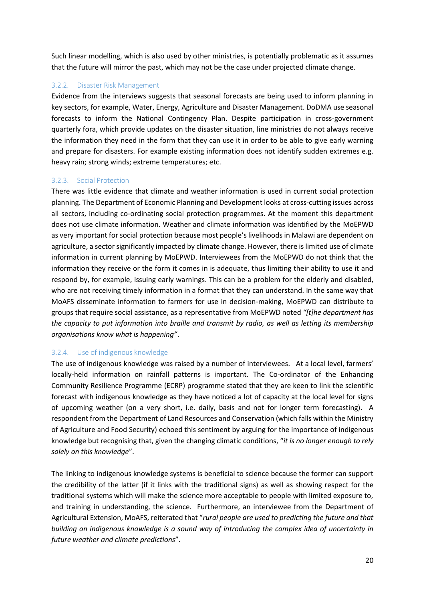Such linear modelling, which is also used by other ministries, is potentially problematic as it assumes that the future will mirror the past, which may not be the case under projected climate change.

#### **3.2.2. Disaster Risk Management**

Evidence from the interviews suggests that seasonal forecasts are being used to inform planning in key sectors, for example, Water, Energy, Agriculture and Disaster Management. DoDMA use seasonal forecasts to inform the National Contingency Plan. Despite participation in cross-government quarterly fora, which provide updates on the disaster situation, line ministries do not always receive the information they need in the form that they can use it in order to be able to give early warning and prepare for disasters. For example existing information does not identify sudden extremes e.g. heavy rain; strong winds; extreme temperatures; etc.

#### **3.2.3. Social Protection**

There was little evidence that climate and weather information is used in current social protection planning. The Department of Economic Planning and Development looks at cross-cutting issues across all sectors, including co-ordinating social protection programmes. At the moment this department does not use climate information. Weather and climate information was identified by the MoEPWD as very important for social protection because most people's livelihoods in Malawi are dependent on agriculture, a sector significantly impacted by climate change. However, there is limited use of climate information in current planning by MoEPWD. Interviewees from the MoEPWD do not think that the information they receive or the form it comes in is adequate, thus limiting their ability to use it and respond by, for example, issuing early warnings. This can be a problem for the elderly and disabled, who are not receiving timely information in a format that they can understand. In the same way that MoAFS disseminate information to farmers for use in decision-making, MoEPWD can distribute to groups that require social assistance, as a representative from MoEPWD noted *"[t]he department has the capacity to put information into braille and transmit by radio, as well as letting its membership organisations know what is happening"*.

#### **3.2.4. Use of indigenous knowledge**

The use of indigenous knowledge was raised by a number of interviewees. At a local level, farmers' locally-held information on rainfall patterns is important. The Co-ordinator of the Enhancing Community Resilience Programme (ECRP) programme stated that they are keen to link the scientific forecast with indigenous knowledge as they have noticed a lot of capacity at the local level for signs of upcoming weather (on a very short, i.e. daily, basis and not for longer term forecasting). A respondent from the Department of Land Resources and Conservation (which falls within the Ministry of Agriculture and Food Security) echoed this sentiment by arguing for the importance of indigenous knowledge but recognising that, given the changing climatic conditions, "*it is no longer enough to rely solely on this knowledge*".

The linking to indigenous knowledge systems is beneficial to science because the former can support the credibility of the latter (if it links with the traditional signs) as well as showing respect for the traditional systems which will make the science more acceptable to people with limited exposure to, and training in understanding, the science. Furthermore, an interviewee from the Department of Agricultural Extension, MoAFS, reiterated that "*rural people are used to predicting the future and that building on indigenous knowledge is a sound way of introducing the complex idea of uncertainty in future weather and climate predictions*".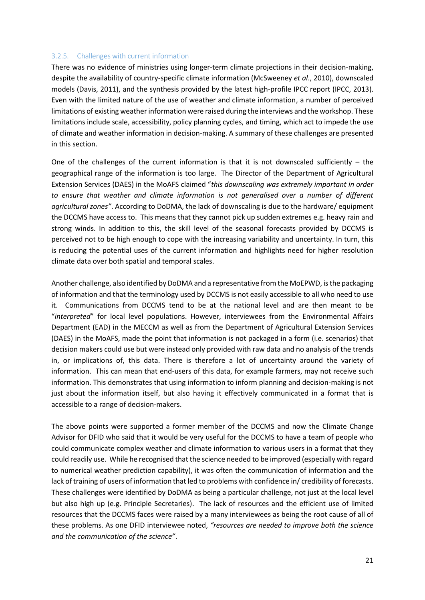#### **3.2.5. Challenges with current information**

There was no evidence of ministries using longer-term climate projections in their decision-making, despite the availability of country-specific climate information (McSweeney *et al*., 2010), downscaled models (Davis, 2011), and the synthesis provided by the latest high-profile IPCC report (IPCC, 2013). Even with the limited nature of the use of weather and climate information, a number of perceived limitations of existing weather information were raised during the interviews and the workshop. These limitations include scale, accessibility, policy planning cycles, and timing, which act to impede the use of climate and weather information in decision-making. A summary of these challenges are presented in this section.

One of the challenges of the current information is that it is not downscaled sufficiently  $-$  the geographical range of the information is too large. The Director of the Department of Agricultural Extension Services (DAES) in the MoAFS claimed "*this downscaling was extremely important in order to ensure that weather and climate information is not generalised over a number of different agricultural zones"*. According to DoDMA, the lack of downscaling is due to the hardware/ equipment the DCCMS have access to. This means that they cannot pick up sudden extremes e.g. heavy rain and strong winds. In addition to this, the skill level of the seasonal forecasts provided by DCCMS is perceived not to be high enough to cope with the increasing variability and uncertainty. In turn, this is reducing the potential uses of the current information and highlights need for higher resolution climate data over both spatial and temporal scales.

Another challenge, also identified by DoDMA and a representative from the MoEPWD, is the packaging of information and that the terminology used by DCCMS is not easily accessible to all who need to use it. Communications from DCCMS tend to be at the national level and are then meant to be "*interpreted*" for local level populations. However, interviewees from the Environmental Affairs Department (EAD) in the MECCM as well as from the Department of Agricultural Extension Services (DAES) in the MoAFS, made the point that information is not packaged in a form (i.e. scenarios) that decision makers could use but were instead only provided with raw data and no analysis of the trends in, or implications of, this data. There is therefore a lot of uncertainty around the variety of information. This can mean that end-users of this data, for example farmers, may not receive such information. This demonstrates that using information to inform planning and decision-making is not just about the information itself, but also having it effectively communicated in a format that is accessible to a range of decision-makers.

The above points were supported a former member of the DCCMS and now the Climate Change Advisor for DFID who said that it would be very useful for the DCCMS to have a team of people who could communicate complex weather and climate information to various users in a format that they could readily use. While he recognised that the science needed to be improved (especially with regard to numerical weather prediction capability), it was often the communication of information and the lack of training of users of information that led to problems with confidence in/ credibility of forecasts. These challenges were identified by DoDMA as being a particular challenge, not just at the local level but also high up (e.g. Principle Secretaries). The lack of resources and the efficient use of limited resources that the DCCMS faces were raised by a many interviewees as being the root cause of all of these problems. As one DFID interviewee noted, *"resources are needed to improve both the science and the communication of the science"*.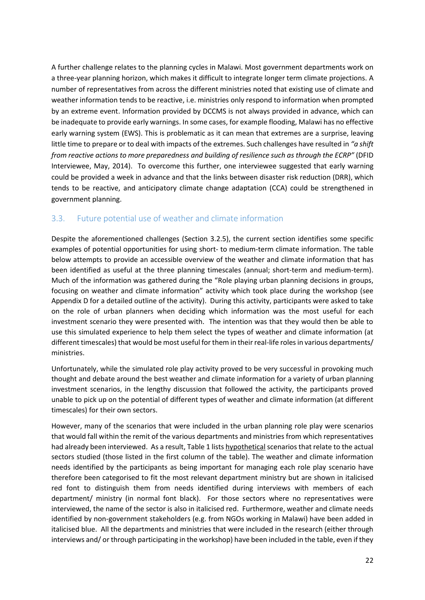A further challenge relates to the planning cycles in Malawi. Most government departments work on a three-year planning horizon, which makes it difficult to integrate longer term climate projections. A number of representatives from across the different ministries noted that existing use of climate and weather information tends to be reactive, i.e. ministries only respond to information when prompted by an extreme event. Information provided by DCCMS is not always provided in advance, which can be inadequate to provide early warnings. In some cases, for example flooding, Malawi has no effective early warning system (EWS). This is problematic as it can mean that extremes are a surprise, leaving little time to prepare or to deal with impacts of the extremes. Such challenges have resulted in *"a shift from reactive actions to more preparedness and building of resilience such as through the ECRP"* (DFID Interviewee, May, 2014). To overcome this further, one interviewee suggested that early warning could be provided a week in advance and that the links between disaster risk reduction (DRR), which tends to be reactive, and anticipatory climate change adaptation (CCA) could be strengthened in government planning.

#### **3.3. Future potential use of weather and climate information**

Despite the aforementioned challenges (Section 3.2.5), the current section identifies some specific examples of potential opportunities for using short- to medium-term climate information. The table below attempts to provide an accessible overview of the weather and climate information that has been identified as useful at the three planning timescales (annual; short-term and medium-term). Much of the information was gathered during the "Role playing urban planning decisions in groups, focusing on weather and climate information" activity which took place during the workshop (see Appendix D for a detailed outline of the activity). During this activity, participants were asked to take on the role of urban planners when deciding which information was the most useful for each investment scenario they were presented with. The intention was that they would then be able to use this simulated experience to help them select the types of weather and climate information (at different timescales) that would be most useful for them in their real-life roles in various departments/ ministries.

Unfortunately, while the simulated role play activity proved to be very successful in provoking much thought and debate around the best weather and climate information for a variety of urban planning investment scenarios, in the lengthy discussion that followed the activity, the participants proved unable to pick up on the potential of different types of weather and climate information (at different timescales) for their own sectors.

However, many of the scenarios that were included in the urban planning role play were scenarios that would fall within the remit of the various departments and ministries from which representatives had already been interviewed. As a result, Table 1 lists hypothetical scenarios that relate to the actual sectors studied (those listed in the first column of the table). The weather and climate information needs identified by the participants as being important for managing each role play scenario have therefore been categorised to fit the most relevant department ministry but are shown in italicised red font to distinguish them from needs identified during interviews with members of each department/ ministry (in normal font black). For those sectors where no representatives were interviewed, the name of the sector is also in italicised red. Furthermore, weather and climate needs identified by non-government stakeholders (e.g. from NGOs working in Malawi) have been added in italicised blue. All the departments and ministries that were included in the research (either through interviews and/ or through participating in the workshop) have been included in the table, even if they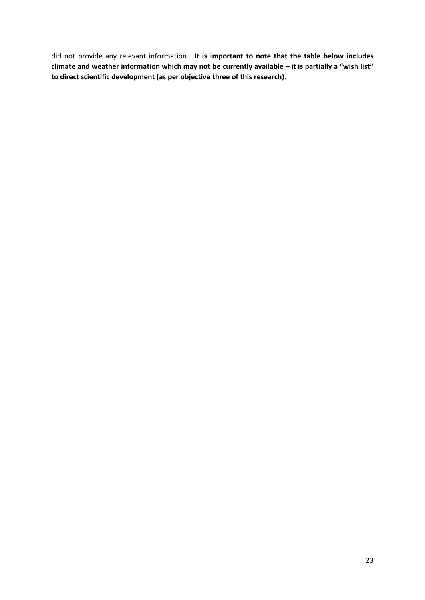did not provide any relevant information. **It is important to note that the table below includes climate and weather information which may not be currently available – it is partially a "wish list" to direct scientific development (as per objective three of this research).**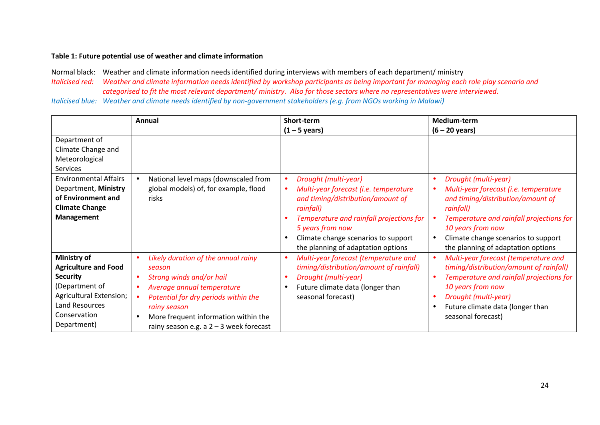#### **Table 1: Future potential use of weather and climate information**

Normal black: Weather and climate information needs identified during interviews with members of each department/ ministry *Italicised red: Weather and climate information needs identified by workshop participants as being important for managing each role play scenario and categorised to fit the most relevant department/ ministry. Also for those sectors where no representatives were interviewed. Italicised blue: Weather and climate needs identified by non-government stakeholders (e.g. from NGOs working in Malawi)*

|                                                                                                                                                             | Annual                                                                                                                                                                                                                                               | Short-term                                                                                                                                                                                                                                                                                                       | <b>Medium-term</b>                                                                                                                                                                                                                                            |
|-------------------------------------------------------------------------------------------------------------------------------------------------------------|------------------------------------------------------------------------------------------------------------------------------------------------------------------------------------------------------------------------------------------------------|------------------------------------------------------------------------------------------------------------------------------------------------------------------------------------------------------------------------------------------------------------------------------------------------------------------|---------------------------------------------------------------------------------------------------------------------------------------------------------------------------------------------------------------------------------------------------------------|
|                                                                                                                                                             |                                                                                                                                                                                                                                                      | $(1 - 5$ years)                                                                                                                                                                                                                                                                                                  | $(6 - 20$ years)                                                                                                                                                                                                                                              |
| Department of<br>Climate Change and<br>Meteorological<br>Services                                                                                           |                                                                                                                                                                                                                                                      |                                                                                                                                                                                                                                                                                                                  |                                                                                                                                                                                                                                                               |
| <b>Environmental Affairs</b><br>Department, Ministry<br>of Environment and<br><b>Climate Change</b><br><b>Management</b>                                    | National level maps (downscaled from<br>global models) of, for example, flood<br>risks                                                                                                                                                               | Drought (multi-year)<br>$\bullet$<br>Multi-year forecast (i.e. temperature<br>$\bullet$<br>and timing/distribution/amount of<br>rainfall)<br>Temperature and rainfall projections for<br>$\bullet$<br>5 years from now<br>Climate change scenarios to support<br>$\bullet$<br>the planning of adaptation options | Drought (multi-year)<br>Multi-year forecast (i.e. temperature<br>and timing/distribution/amount of<br>rainfall)<br>Temperature and rainfall projections for<br>10 years from now<br>Climate change scenarios to support<br>the planning of adaptation options |
| Ministry of<br><b>Agriculture and Food</b><br><b>Security</b><br>(Department of<br>Agricultural Extension;<br>Land Resources<br>Conservation<br>Department) | Likely duration of the annual rainy<br>season<br>Strong winds and/or hail<br>Average annual temperature<br>Potential for dry periods within the<br>rainy season<br>More frequent information within the<br>rainy season e.g. a $2 - 3$ week forecast | Multi-year forecast (temperature and<br>$\bullet$<br>timing/distribution/amount of rainfall)<br>Drought (multi-year)<br>$\bullet$<br>Future climate data (longer than<br>$\bullet$<br>seasonal forecast)                                                                                                         | Multi-year forecast (temperature and<br>timing/distribution/amount of rainfall)<br>Temperature and rainfall projections for<br>10 years from now<br>Drought (multi-year)<br>Future climate data (longer than<br>seasonal forecast)                            |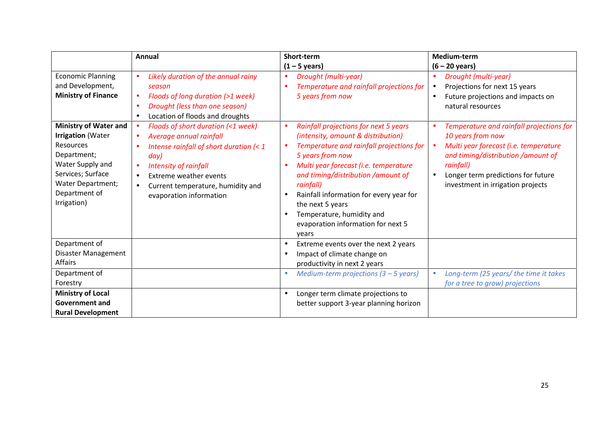|                                                                                                                                                                                           | Annual                                                                                                                                                                                                                                                                                            | Short-term                                                                                                                                                                                                                                                                                                                                                                                                                              | Medium-term                                                                                                                                                                                                                          |
|-------------------------------------------------------------------------------------------------------------------------------------------------------------------------------------------|---------------------------------------------------------------------------------------------------------------------------------------------------------------------------------------------------------------------------------------------------------------------------------------------------|-----------------------------------------------------------------------------------------------------------------------------------------------------------------------------------------------------------------------------------------------------------------------------------------------------------------------------------------------------------------------------------------------------------------------------------------|--------------------------------------------------------------------------------------------------------------------------------------------------------------------------------------------------------------------------------------|
|                                                                                                                                                                                           |                                                                                                                                                                                                                                                                                                   | $(1 - 5 \text{ years})$                                                                                                                                                                                                                                                                                                                                                                                                                 | $(6 - 20$ years)                                                                                                                                                                                                                     |
| <b>Economic Planning</b><br>and Development,<br><b>Ministry of Finance</b>                                                                                                                | Likely duration of the annual rainy<br>season<br>Floods of long duration (>1 week)<br>$\bullet$<br>Drought (less than one season)<br>Location of floods and droughts<br>$\bullet$                                                                                                                 | Drought (multi-year)<br>$\bullet$<br>Temperature and rainfall projections for<br>$\bullet$<br>5 years from now                                                                                                                                                                                                                                                                                                                          | Drought (multi-year)<br>Projections for next 15 years<br>$\bullet$<br>Future projections and impacts on<br>natural resources                                                                                                         |
| <b>Ministry of Water and</b><br><b>Irrigation (Water</b><br>Resources<br>Department;<br>Water Supply and<br>Services; Surface<br><b>Water Department;</b><br>Department of<br>Irrigation) | Floods of short duration (<1 week)<br>Average annual rainfall<br>Intense rainfall of short duration $\left( < 1 \right)$<br>day)<br>Intensity of rainfall<br>$\bullet$<br><b>Extreme weather events</b><br>$\bullet$<br>Current temperature, humidity and<br>$\bullet$<br>evaporation information | Rainfall projections for next 5 years<br>$\bullet$<br>(intensity, amount & distribution)<br>Temperature and rainfall projections for<br>$\bullet$<br>5 years from now<br>Multi year forecast (i.e. temperature<br>and timing/distribution / amount of<br>rainfall)<br>Rainfall information for every year for<br>$\bullet$<br>the next 5 years<br>Temperature, humidity and<br>$\bullet$<br>evaporation information for next 5<br>years | Temperature and rainfall projections for<br>10 years from now<br>Multi year forecast (i.e. temperature<br>and timing/distribution /amount of<br>rainfall)<br>Longer term predictions for future<br>investment in irrigation projects |
| Department of<br>Disaster Management<br>Affairs                                                                                                                                           |                                                                                                                                                                                                                                                                                                   | Extreme events over the next 2 years<br>$\bullet$<br>Impact of climate change on<br>$\bullet$<br>productivity in next 2 years                                                                                                                                                                                                                                                                                                           |                                                                                                                                                                                                                                      |
| Department of<br>Forestry                                                                                                                                                                 |                                                                                                                                                                                                                                                                                                   | Medium-term projections $(3 - 5$ years)<br>$\bullet$                                                                                                                                                                                                                                                                                                                                                                                    | Long-term (25 years/ the time it takes<br>for a tree to grow) projections                                                                                                                                                            |
| <b>Ministry of Local</b><br><b>Government and</b><br><b>Rural Development</b>                                                                                                             |                                                                                                                                                                                                                                                                                                   | Longer term climate projections to<br>$\bullet$<br>better support 3-year planning horizon                                                                                                                                                                                                                                                                                                                                               |                                                                                                                                                                                                                                      |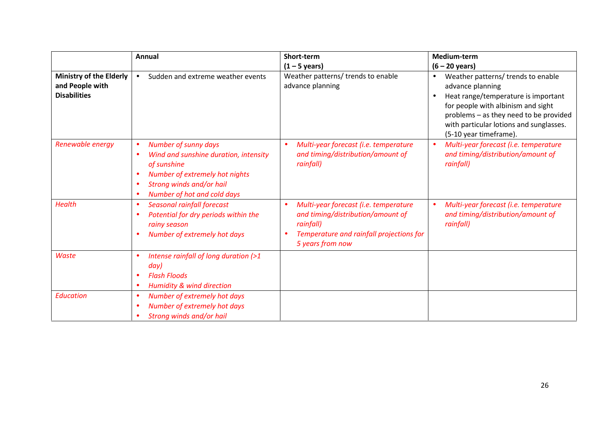|                                                                          | Annual                                                                                                                                                                           | Short-term                                                                                                                                              | Medium-term                                                                                                                                                                                                                                                                  |
|--------------------------------------------------------------------------|----------------------------------------------------------------------------------------------------------------------------------------------------------------------------------|---------------------------------------------------------------------------------------------------------------------------------------------------------|------------------------------------------------------------------------------------------------------------------------------------------------------------------------------------------------------------------------------------------------------------------------------|
|                                                                          |                                                                                                                                                                                  | $(1 - 5 \text{ years})$                                                                                                                                 | $(6 - 20$ years)                                                                                                                                                                                                                                                             |
| <b>Ministry of the Elderly</b><br>and People with<br><b>Disabilities</b> | Sudden and extreme weather events                                                                                                                                                | Weather patterns/ trends to enable<br>advance planning                                                                                                  | Weather patterns/ trends to enable<br>$\bullet$<br>advance planning<br>Heat range/temperature is important<br>$\bullet$<br>for people with albinism and sight<br>problems - as they need to be provided<br>with particular lotions and sunglasses.<br>(5-10 year timeframe). |
| Renewable energy                                                         | <b>Number of sunny days</b><br>Wind and sunshine duration, intensity<br>of sunshine<br>Number of extremely hot nights<br>Strong winds and/or hail<br>Number of hot and cold days | Multi-year forecast (i.e. temperature<br>$\bullet$<br>and timing/distribution/amount of<br>rainfall)                                                    | Multi-year forecast (i.e. temperature<br>$\bullet$<br>and timing/distribution/amount of<br>rainfall)                                                                                                                                                                         |
| <b>Health</b>                                                            | Seasonal rainfall forecast<br>Potential for dry periods within the<br>rainy season<br>Number of extremely hot days                                                               | Multi-year forecast (i.e. temperature<br>and timing/distribution/amount of<br>rainfall)<br>Temperature and rainfall projections for<br>5 years from now | Multi-year forecast (i.e. temperature<br>and timing/distribution/amount of<br>rainfall)                                                                                                                                                                                      |
| <b>Waste</b>                                                             | Intense rainfall of long duration (>1<br>day)<br><b>Flash Floods</b><br><b>Humidity &amp; wind direction</b>                                                                     |                                                                                                                                                         |                                                                                                                                                                                                                                                                              |
| Education                                                                | Number of extremely hot days<br>Number of extremely hot days<br>Strong winds and/or hail                                                                                         |                                                                                                                                                         |                                                                                                                                                                                                                                                                              |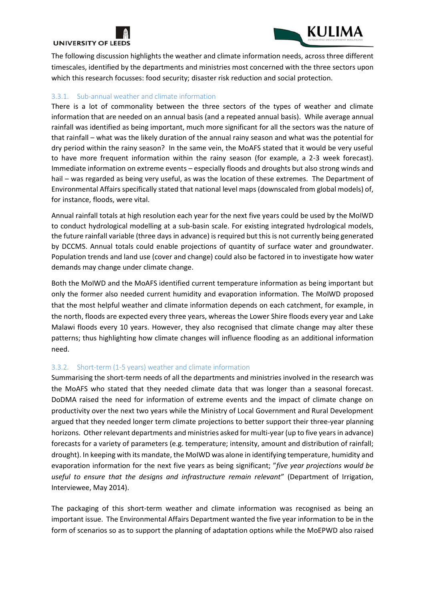

**UNIVERSITY OF LEEDS** 

The following discussion highlights the weather and climate information needs, across three different timescales, identified by the departments and ministries most concerned with the three sectors upon which this research focusses: food security; disaster risk reduction and social protection.

KULIMA

#### **3.3.1. Sub-annual weather and climate information**

There is a lot of commonality between the three sectors of the types of weather and climate information that are needed on an annual basis (and a repeated annual basis). While average annual rainfall was identified as being important, much more significant for all the sectors was the nature of that rainfall – what was the likely duration of the annual rainy season and what was the potential for dry period within the rainy season? In the same vein, the MoAFS stated that it would be very useful to have more frequent information within the rainy season (for example, a 2-3 week forecast). Immediate information on extreme events – especially floods and droughts but also strong winds and hail – was regarded as being very useful, as was the location of these extremes. The Department of Environmental Affairs specifically stated that national level maps (downscaled from global models) of, for instance, floods, were vital.

Annual rainfall totals at high resolution each year for the next five years could be used by the MoIWD to conduct hydrological modelling at a sub-basin scale. For existing integrated hydrological models, the future rainfall variable (three days in advance) is required but this is not currently being generated by DCCMS. Annual totals could enable projections of quantity of surface water and groundwater. Population trends and land use (cover and change) could also be factored in to investigate how water demands may change under climate change.

Both the MoIWD and the MoAFS identified current temperature information as being important but only the former also needed current humidity and evaporation information. The MoIWD proposed that the most helpful weather and climate information depends on each catchment, for example, in the north, floods are expected every three years, whereas the Lower Shire floods every year and Lake Malawi floods every 10 years. However, they also recognised that climate change may alter these patterns; thus highlighting how climate changes will influence flooding as an additional information need.

#### **3.3.2. Short-term (1-5 years) weather and climate information**

Summarising the short-term needs of all the departments and ministries involved in the research was the MoAFS who stated that they needed climate data that was longer than a seasonal forecast. DoDMA raised the need for information of extreme events and the impact of climate change on productivity over the next two years while the Ministry of Local Government and Rural Development argued that they needed longer term climate projections to better support their three-year planning horizons. Other relevant departments and ministries asked for multi-year (up to five years in advance) forecasts for a variety of parameters (e.g. temperature; intensity, amount and distribution of rainfall; drought). In keeping with its mandate, the MoIWD was alone in identifying temperature, humidity and evaporation information for the next five years as being significant; "*five year projections would be useful to ensure that the designs and infrastructure remain relevant*" (Department of Irrigation, Interviewee, May 2014).

The packaging of this short-term weather and climate information was recognised as being an important issue. The Environmental Affairs Department wanted the five year information to be in the form of scenarios so as to support the planning of adaptation options while the MoEPWD also raised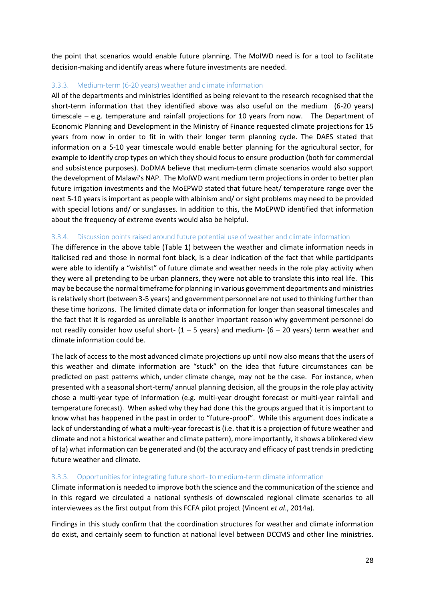the point that scenarios would enable future planning. The MoIWD need is for a tool to facilitate decision-making and identify areas where future investments are needed.

#### **3.3.3. Medium-term (6-20 years) weather and climate information**

All of the departments and ministries identified as being relevant to the research recognised that the short-term information that they identified above was also useful on the medium (6-20 years) timescale – e.g. temperature and rainfall projections for 10 years from now. The Department of Economic Planning and Development in the Ministry of Finance requested climate projections for 15 years from now in order to fit in with their longer term planning cycle. The DAES stated that information on a 5-10 year timescale would enable better planning for the agricultural sector, for example to identify crop types on which they should focus to ensure production (both for commercial and subsistence purposes). DoDMA believe that medium-term climate scenarios would also support the development of Malawi's NAP. The MoIWD want medium term projections in order to better plan future irrigation investments and the MoEPWD stated that future heat/ temperature range over the next 5-10 years is important as people with albinism and/ or sight problems may need to be provided with special lotions and/ or sunglasses. In addition to this, the MoEPWD identified that information about the frequency of extreme events would also be helpful.

#### **3.3.4. Discussion points raised around future potential use of weather and climate information**

The difference in the above table (Table 1) between the weather and climate information needs in italicised red and those in normal font black, is a clear indication of the fact that while participants were able to identify a "wishlist" of future climate and weather needs in the role play activity when they were all pretending to be urban planners, they were not able to translate this into real life. This may be because the normal timeframe for planning in various government departments and ministries is relatively short (between 3-5 years) and government personnel are not used to thinking further than these time horizons. The limited climate data or information for longer than seasonal timescales and the fact that it is regarded as unreliable is another important reason why government personnel do not readily consider how useful short-  $(1 - 5$  years) and medium-  $(6 - 20$  years) term weather and climate information could be.

The lack of access to the most advanced climate projections up until now also means that the users of this weather and climate information are "stuck" on the idea that future circumstances can be predicted on past patterns which, under climate change, may not be the case. For instance, when presented with a seasonal short-term/ annual planning decision, all the groups in the role play activity chose a multi-year type of information (e.g. multi-year drought forecast or multi-year rainfall and temperature forecast). When asked why they had done this the groups argued that it is important to know what has happened in the past in order to "future-proof". While this argument does indicate a lack of understanding of what a multi-year forecast is (i.e. that it is a projection of future weather and climate and not a historical weather and climate pattern), more importantly, it shows a blinkered view of (a) what information can be generated and (b) the accuracy and efficacy of past trends in predicting future weather and climate.

#### **3.3.5. Opportunities for integrating future short- to medium-term climate information**

Climate information is needed to improve both the science and the communication of the science and in this regard we circulated a national synthesis of downscaled regional climate scenarios to all interviewees as the first output from this FCFA pilot project (Vincent *et al*., 2014a).

Findings in this study confirm that the coordination structures for weather and climate information do exist, and certainly seem to function at national level between DCCMS and other line ministries.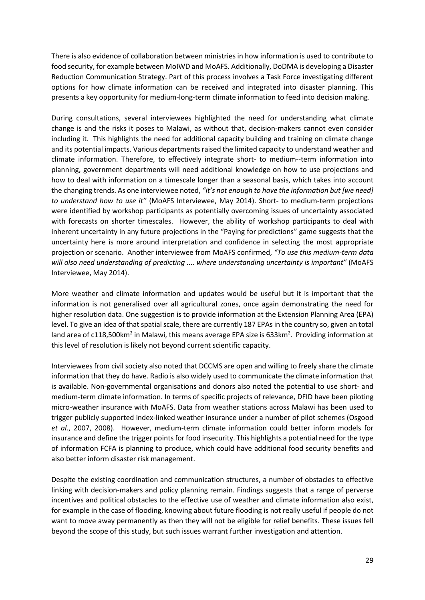There is also evidence of collaboration between ministries in how information is used to contribute to food security, for example between MoIWD and MoAFS. Additionally, DoDMA is developing a Disaster Reduction Communication Strategy. Part of this process involves a Task Force investigating different options for how climate information can be received and integrated into disaster planning. This presents a key opportunity for medium-long-term climate information to feed into decision making.

During consultations, several interviewees highlighted the need for understanding what climate change is and the risks it poses to Malawi, as without that, decision-makers cannot even consider including it. This highlights the need for additional capacity building and training on climate change and its potential impacts. Various departments raised the limited capacity to understand weather and climate information. Therefore, to effectively integrate short- to medium--term information into planning, government departments will need additional knowledge on how to use projections and how to deal with information on a timescale longer than a seasonal basis, which takes into account the changing trends. As one interviewee noted, *"it's not enough to have the information but [we need] to understand how to use it"* (MoAFS Interviewee, May 2014). Short- to medium-term projections were identified by workshop participants as potentially overcoming issues of uncertainty associated with forecasts on shorter timescales. However, the ability of workshop participants to deal with inherent uncertainty in any future projections in the "Paying for predictions" game suggests that the uncertainty here is more around interpretation and confidence in selecting the most appropriate projection or scenario. Another interviewee from MoAFS confirmed, *"To use this medium-term data will also need understanding of predicting .... where understanding uncertainty is important"* (MoAFS Interviewee, May 2014).

More weather and climate information and updates would be useful but it is important that the information is not generalised over all agricultural zones, once again demonstrating the need for higher resolution data. One suggestion is to provide information at the Extension Planning Area (EPA) level. To give an idea of that spatial scale, there are currently 187 EPAs in the country so, given an total land area of c118,500km<sup>2</sup> in Malawi, this means average EPA size is 633km<sup>2</sup>. Providing information at this level of resolution is likely not beyond current scientific capacity.

Interviewees from civil society also noted that DCCMS are open and willing to freely share the climate information that they do have. Radio is also widely used to communicate the climate information that is available. Non-governmental organisations and donors also noted the potential to use short- and medium-term climate information. In terms of specific projects of relevance, DFID have been piloting micro-weather insurance with MoAFS. Data from weather stations across Malawi has been used to trigger publicly supported index-linked weather insurance under a number of pilot schemes (Osgood *et al.*, 2007, 2008). However, medium-term climate information could better inform models for insurance and define the trigger points for food insecurity. This highlights a potential need for the type of information FCFA is planning to produce, which could have additional food security benefits and also better inform disaster risk management.

Despite the existing coordination and communication structures, a number of obstacles to effective linking with decision-makers and policy planning remain. Findings suggests that a range of perverse incentives and political obstacles to the effective use of weather and climate information also exist, for example in the case of flooding, knowing about future flooding is not really useful if people do not want to move away permanently as then they will not be eligible for relief benefits. These issues fell beyond the scope of this study, but such issues warrant further investigation and attention.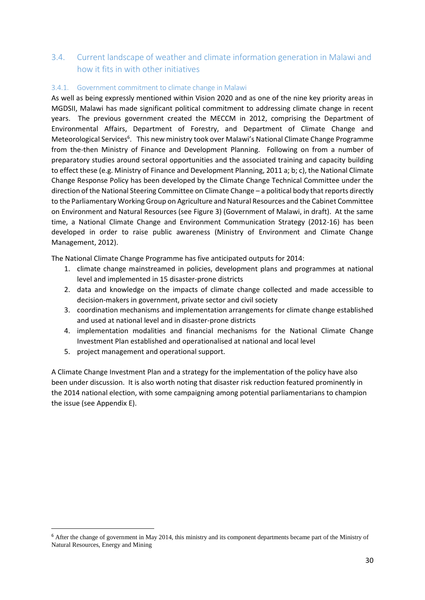### **3.4. Current landscape of weather and climate information generation in Malawi and how it fits in with other initiatives**

#### **3.4.1. Government commitment to climate change in Malawi**

As well as being expressly mentioned within Vision 2020 and as one of the nine key priority areas in MGDSII, Malawi has made significant political commitment to addressing climate change in recent years. The previous government created the MECCM in 2012, comprising the Department of Environmental Affairs, Department of Forestry, and Department of Climate Change and Meteorological Services<sup>6</sup>. This new ministry took over Malawi's National Climate Change Programme from the-then Ministry of Finance and Development Planning. Following on from a number of preparatory studies around sectoral opportunities and the associated training and capacity building to effect these (e.g. Ministry of Finance and Development Planning, 2011 a; b; c), the National Climate Change Response Policy has been developed by the Climate Change Technical Committee under the direction of the National Steering Committee on Climate Change – a political body that reports directly to the Parliamentary Working Group on Agriculture and Natural Resources and the Cabinet Committee on Environment and Natural Resources (see Figure 3) (Government of Malawi, in draft). At the same time, a National Climate Change and Environment Communication Strategy (2012-16) has been developed in order to raise public awareness (Ministry of Environment and Climate Change Management, 2012).

The National Climate Change Programme has five anticipated outputs for 2014:

- 1. climate change mainstreamed in policies, development plans and programmes at national level and implemented in 15 disaster-prone districts
- 2. data and knowledge on the impacts of climate change collected and made accessible to decision-makers in government, private sector and civil society
- 3. coordination mechanisms and implementation arrangements for climate change established and used at national level and in disaster-prone districts
- 4. implementation modalities and financial mechanisms for the National Climate Change Investment Plan established and operationalised at national and local level
- 5. project management and operational support.

A Climate Change Investment Plan and a strategy for the implementation of the policy have also been under discussion. It is also worth noting that disaster risk reduction featured prominently in the 2014 national election, with some campaigning among potential parliamentarians to champion the issue (see Appendix E).

<sup>&</sup>lt;sup>6</sup> After the change of government in May 2014, this ministry and its component departments became part of the Ministry of Natural Resources, Energy and Mining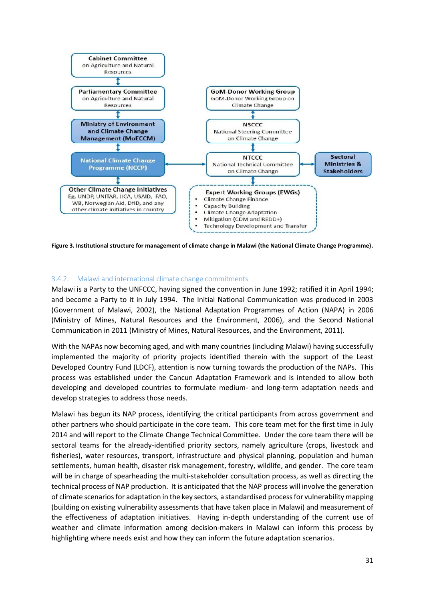

**Figure 3. Institutional structure for management of climate change in Malawi (the National Climate Change Programme).**

#### **3.4.2. Malawi and international climate change commitments**

Malawi is a Party to the UNFCCC, having signed the convention in June 1992; ratified it in April 1994; and become a Party to it in July 1994. The Initial National Communication was produced in 2003 (Government of Malawi, 2002), the National Adaptation Programmes of Action (NAPA) in 2006 (Ministry of Mines, Natural Resources and the Environment, 2006), and the Second National Communication in 2011 (Ministry of Mines, Natural Resources, and the Environment, 2011).

With the NAPAs now becoming aged, and with many countries (including Malawi) having successfully implemented the majority of priority projects identified therein with the support of the Least Developed Country Fund (LDCF), attention is now turning towards the production of the NAPs. This process was established under the Cancun Adaptation Framework and is intended to allow both developing and developed countries to formulate medium- and long-term adaptation needs and develop strategies to address those needs.

Malawi has begun its NAP process, identifying the critical participants from across government and other partners who should participate in the core team. This core team met for the first time in July 2014 and will report to the Climate Change Technical Committee. Under the core team there will be sectoral teams for the already-identified priority sectors, namely agriculture (crops, livestock and fisheries), water resources, transport, infrastructure and physical planning, population and human settlements, human health, disaster risk management, forestry, wildlife, and gender. The core team will be in charge of spearheading the multi-stakeholder consultation process, as well as directing the technical process of NAP production. It is anticipated that the NAP process will involve the generation of climate scenarios for adaptation in the key sectors, a standardised process for vulnerability mapping (building on existing vulnerability assessments that have taken place in Malawi) and measurement of the effectiveness of adaptation initiatives. Having in-depth understanding of the current use of weather and climate information among decision-makers in Malawi can inform this process by highlighting where needs exist and how they can inform the future adaptation scenarios.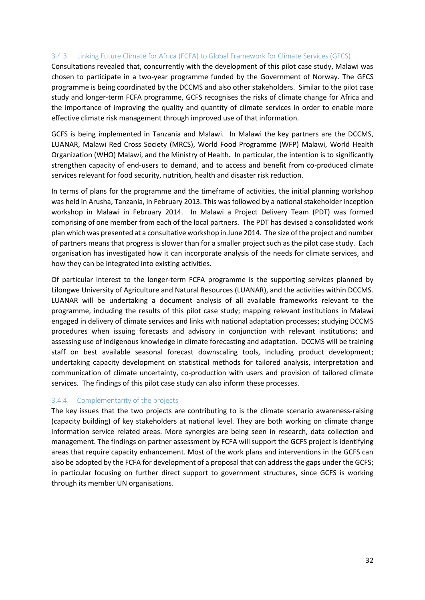#### **3.4.3. Linking Future Climate for Africa (FCFA) to Global Framework for Climate Services (GFCS)**

Consultations revealed that, concurrently with the development of this pilot case study, Malawi was chosen to participate in a two-year programme funded by the Government of Norway. The GFCS programme is being coordinated by the DCCMS and also other stakeholders. Similar to the pilot case study and longer-term FCFA programme, GCFS recognises the risks of climate change for Africa and the importance of improving the quality and quantity of climate services in order to enable more effective climate risk management through improved use of that information.

GCFS is being implemented in Tanzania and Malawi. In Malawi the key partners are the DCCMS, LUANAR, Malawi Red Cross Society (MRCS), World Food Programme (WFP) Malawi, World Health Organization (WHO) Malawi, and the Ministry of Health**.** In particular, the intention is to significantly strengthen capacity of end-users to demand, and to access and benefit from co-produced climate services relevant for food security, nutrition, health and disaster risk reduction.

In terms of plans for the programme and the timeframe of activities, the initial planning workshop was held in Arusha, Tanzania, in February 2013. This was followed by a national stakeholder inception workshop in Malawi in February 2014. In Malawi a Project Delivery Team (PDT) was formed comprising of one member from each of the local partners. The PDT has devised a consolidated work plan which was presented at a consultative workshop in June 2014. The size of the project and number of partners means that progress is slower than for a smaller project such as the pilot case study. Each organisation has investigated how it can incorporate analysis of the needs for climate services, and how they can be integrated into existing activities.

Of particular interest to the longer-term FCFA programme is the supporting services planned by Lilongwe University of Agriculture and Natural Resources (LUANAR), and the activities within DCCMS. LUANAR will be undertaking a document analysis of all available frameworks relevant to the programme, including the results of this pilot case study; mapping relevant institutions in Malawi engaged in delivery of climate services and links with national adaptation processes; studying DCCMS procedures when issuing forecasts and advisory in conjunction with relevant institutions; and assessing use of indigenous knowledge in climate forecasting and adaptation. DCCMS will be training staff on best available seasonal forecast downscaling tools, including product development; undertaking capacity development on statistical methods for tailored analysis, interpretation and communication of climate uncertainty, co-production with users and provision of tailored climate services. The findings of this pilot case study can also inform these processes.

#### **3.4.4. Complementarity of the projects**

The key issues that the two projects are contributing to is the climate scenario awareness-raising (capacity building) of key stakeholders at national level. They are both working on climate change information service related areas. More synergies are being seen in research, data collection and management. The findings on partner assessment by FCFA will support the GCFS project is identifying areas that require capacity enhancement. Most of the work plans and interventions in the GCFS can also be adopted by the FCFA for development of a proposal that can address the gaps under the GCFS; in particular focusing on further direct support to government structures, since GCFS is working through its member UN organisations.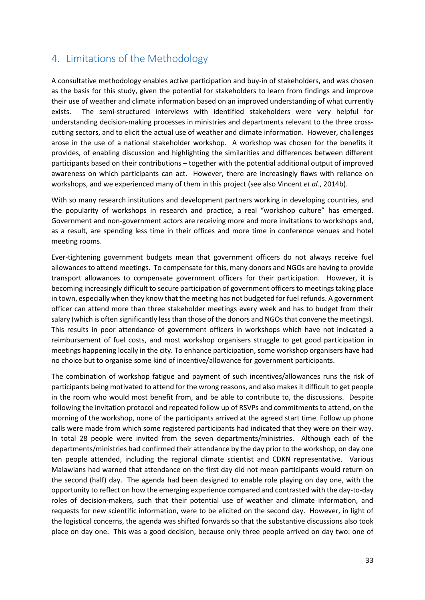## **4. Limitations of the Methodology**

A consultative methodology enables active participation and buy-in of stakeholders, and was chosen as the basis for this study, given the potential for stakeholders to learn from findings and improve their use of weather and climate information based on an improved understanding of what currently exists. The semi-structured interviews with identified stakeholders were very helpful for understanding decision-making processes in ministries and departments relevant to the three cross cutting sectors, and to elicit the actual use of weather and climate information. However, challenges arose in the use of a national stakeholder workshop. A workshop was chosen for the benefits it provides, of enabling discussion and highlighting the similarities and differences between different participants based on their contributions – together with the potential additional output of improved awareness on which participants can act. However, there are increasingly flaws with reliance on workshops, and we experienced many of them in this project (see also Vincent *et al.*, 2014b).

With so many research institutions and development partners working in developing countries, and the popularity of workshops in research and practice, a real "workshop culture" has emerged. Government and non-government actors are receiving more and more invitations to workshops and, as a result, are spending less time in their offices and more time in conference venues and hotel meeting rooms.

Ever-tightening government budgets mean that government officers do not always receive fuel allowances to attend meetings. To compensate for this, many donors and NGOs are having to provide transport allowances to compensate government officers for their participation. However, it is becoming increasingly difficult to secure participation of government officers to meetings taking place in town, especially when they know that the meeting has not budgeted for fuel refunds. A government officer can attend more than three stakeholder meetings every week and has to budget from their salary (which is often significantly less than those of the donors and NGOs that convene the meetings). This results in poor attendance of government officers in workshops which have not indicated a reimbursement of fuel costs, and most workshop organisers struggle to get good participation in meetings happening locally in the city. To enhance participation, some workshop organisers have had no choice but to organise some kind of incentive/allowance for government participants.

The combination of workshop fatigue and payment of such incentives/allowances runs the risk of participants being motivated to attend for the wrong reasons, and also makes it difficult to get people in the room who would most benefit from, and be able to contribute to, the discussions. Despite following the invitation protocol and repeated follow up of RSVPs and commitments to attend, on the morning of the workshop, none of the participants arrived at the agreed start time. Follow up phone calls were made from which some registered participants had indicated that they were on their way. In total 28 people were invited from the seven departments/ministries. Although each of the departments/ministries had confirmed their attendance by the day prior to the workshop, on day one ten people attended, including the regional climate scientist and CDKN representative. Various Malawians had warned that attendance on the first day did not mean participants would return on the second (half) day. The agenda had been designed to enable role playing on day one, with the opportunity to reflect on how the emerging experience compared and contrasted with the day-to-day roles of decision-makers, such that their potential use of weather and climate information, and requests for new scientific information, were to be elicited on the second day. However, in light of the logistical concerns, the agenda was shifted forwards so that the substantive discussions also took place on day one. This was a good decision, because only three people arrived on day two: one of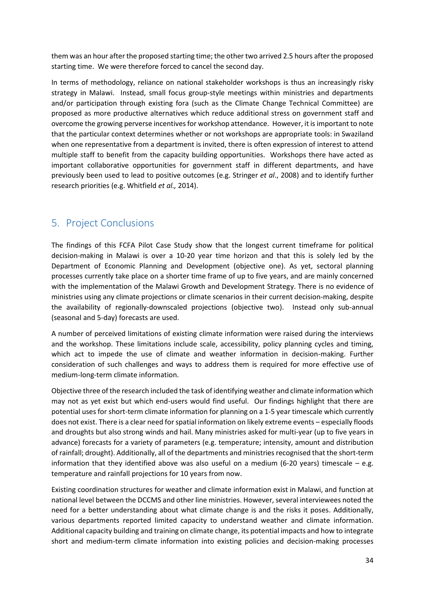them was an hour after the proposed starting time; the other two arrived 2.5 hours after the proposed starting time. We were therefore forced to cancel the second day.

In terms of methodology, reliance on national stakeholder workshops is thus an increasingly risky strategy in Malawi. Instead, small focus group-style meetings within ministries and departments and/or participation through existing fora (such as the Climate Change Technical Committee) are proposed as more productive alternatives which reduce additional stress on government staff and overcome the growing perverse incentives for workshop attendance. However, it is important to note that the particular context determines whether or not workshops are appropriate tools: in Swaziland when one representative from a department is invited, there is often expression of interest to attend multiple staff to benefit from the capacity building opportunities. Workshops there have acted as important collaborative opportunities for government staff in different departments, and have previously been used to lead to positive outcomes (e.g. Stringer *et al*., 2008) and to identify further research priorities (e.g. Whitfield *et al.,* 2014).

## **5. Project Conclusions**

The findings of this FCFA Pilot Case Study show that the longest current timeframe for political decision-making in Malawi is over a 10-20 year time horizon and that this is solely led by the Department of Economic Planning and Development (objective one). As yet, sectoral planning processes currently take place on a shorter time frame of up to five years, and are mainly concerned with the implementation of the Malawi Growth and Development Strategy. There is no evidence of ministries using any climate projections or climate scenarios in their current decision-making, despite the availability of regionally-downscaled projections (objective two). Instead only sub-annual (seasonal and 5-day) forecasts are used.

A number of perceived limitations of existing climate information were raised during the interviews and the workshop. These limitations include scale, accessibility, policy planning cycles and timing, which act to impede the use of climate and weather information in decision-making. Further consideration of such challenges and ways to address them is required for more effective use of medium-long-term climate information.

Objective three of the research included the task of identifying weather and climate information which may not as yet exist but which end-users would find useful. Our findings highlight that there are potential uses for short-term climate information for planning on a 1-5 year timescale which currently does not exist. There is a clear need for spatial information on likely extreme events – especially floods and droughts but also strong winds and hail. Many ministries asked for multi-year (up to five years in advance) forecasts for a variety of parameters (e.g. temperature; intensity, amount and distribution of rainfall; drought). Additionally, all of the departments and ministries recognised that the short-term information that they identified above was also useful on a medium (6-20 years) timescale  $-$  e.g. temperature and rainfall projections for 10 years from now.

Existing coordination structures for weather and climate information exist in Malawi, and function at national level between the DCCMS and other line ministries. However, several interviewees noted the need for a better understanding about what climate change is and the risks it poses. Additionally, various departments reported limited capacity to understand weather and climate information. Additional capacity building and training on climate change, its potential impacts and how to integrate short and medium-term climate information into existing policies and decision-making processes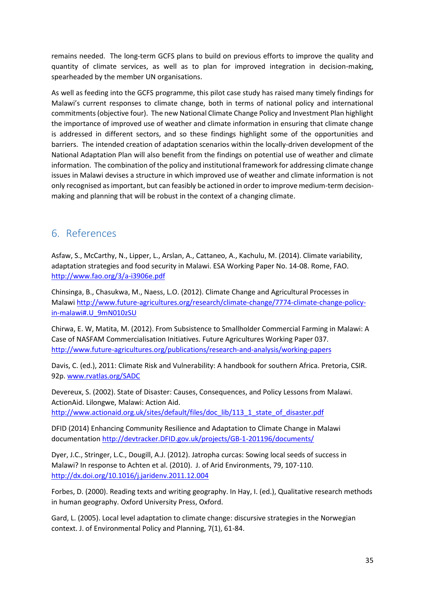remains needed. The long-term GCFS plans to build on previous efforts to improve the quality and quantity of climate services, as well as to plan for improved integration in decision-making, spearheaded by the member UN organisations.

As well as feeding into the GCFS programme, this pilot case study has raised many timely findings for Malawi's current responses to climate change, both in terms of national policy and international commitments (objective four). The new National Climate Change Policy and Investment Plan highlight the importance of improved use of weather and climate information in ensuring that climate change is addressed in different sectors, and so these findings highlight some of the opportunities and barriers. The intended creation of adaptation scenarios within the locally-driven development of the National Adaptation Plan will also benefit from the findings on potential use of weather and climate information. The combination of the policy and institutional framework for addressing climate change issues in Malawi devises a structure in which improved use of weather and climate information is not only recognised as important, but can feasibly be actioned in order to improve medium-term decision making and planning that will be robust in the context of a changing climate.

## **6. References**

Asfaw, S., McCarthy, N., Lipper, L., Arslan, A., Cattaneo, A., Kachulu, M. (2014). Climate variability, adaptation strategies and food security in Malawi. ESA Working Paper No. 14-08. Rome, FAO. http://www.fao.org/3/a-i3906e.pdf

Chinsinga, B., Chasukwa, M., Naess, L.O. (2012). Climate Change and Agricultural Processes in Malawi http://www.future-agricultures.org/research/climate-change/7774-climate-change-policyin-malawi#.U\_9mN010zSU

Chirwa, E. W, Matita, M. (2012). From Subsistence to Smallholder Commercial Farming in Malawi: A Case of NASFAM Commercialisation Initiatives. Future Agricultures Working Paper 037. http://www.future-agricultures.org/publications/research-and-analysis/working-papers

Davis, C. (ed.), 2011: Climate Risk and Vulnerability: A handbook for southern Africa. Pretoria, CSIR. 92p. www.rvatlas.org/SADC

Devereux, S. (2002). State of Disaster: Causes, Consequences, and Policy Lessons from Malawi. ActionAid. Lilongwe, Malawi: Action Aid. http://www.actionaid.org.uk/sites/default/files/doc\_lib/113\_1\_state\_of\_disaster.pdf

DFID (2014) Enhancing Community Resilience and Adaptation to Climate Change in Malawi documentation http://devtracker.DFID.gov.uk/projects/GB-1-201196/documents/

Dyer, J.C., Stringer, L.C., Dougill, A.J. (2012). Jatropha curcas: Sowing local seeds of success in Malawi? In response to Achten et al. (2010). J. of Arid Environments, 79, 107-110. http://dx.doi.org/10.1016/j.jaridenv.2011.12.004

Forbes, D. (2000). Reading texts and writing geography. In Hay, I. (ed.), Qualitative research methods in human geography. Oxford University Press, Oxford.

Gard, L. (2005). Local level adaptation to climate change: discursive strategies in the Norwegian context. J. of Environmental Policy and Planning, 7(1), 61-84.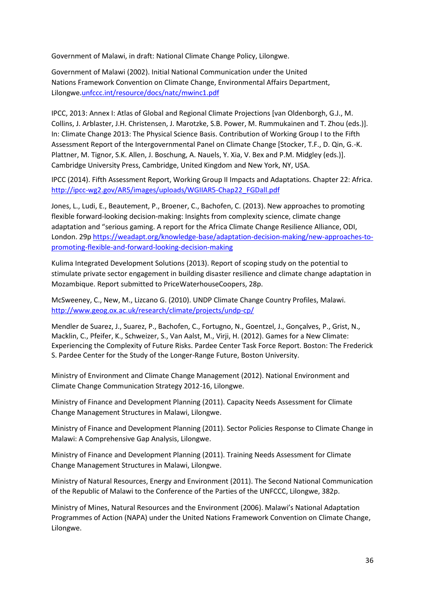Government of Malawi, in draft: National Climate Change Policy, Lilongwe.

Government of Malawi (2002). Initial National Communication under the United Nations Framework Convention on Climate Change, Environmental Affairs Department, Lilongwe.unfccc.int/resource/docs/natc/mwinc1.pdf

IPCC, 2013: Annex I: Atlas of Global and Regional Climate Projections [van Oldenborgh, G.J., M. Collins, J. Arblaster, J.H. Christensen, J. Marotzke, S.B. Power, M. Rummukainen and T. Zhou (eds.)]. In: Climate Change 2013: The Physical Science Basis. Contribution of Working Group I to the Fifth Assessment Report of the Intergovernmental Panel on Climate Change [Stocker, T.F., D. Qin, G.-K. Plattner, M. Tignor, S.K. Allen, J. Boschung, A. Nauels, Y. Xia, V. Bex and P.M. Midgley (eds.)]. Cambridge University Press, Cambridge, United Kingdom and New York, NY, USA.

IPCC (2014). Fifth Assessment Report, Working Group II Impacts and Adaptations. Chapter 22: Africa. http://ipcc-wg2.gov/AR5/images/uploads/WGIIAR5-Chap22\_FGDall.pdf

Jones, L., Ludi, E., Beautement, P., Broener, C., Bachofen, C. (2013). New approaches to promoting flexible forward-looking decision-making: Insights from complexity science, climate change adaptation and "serious gaming. A report for the Africa Climate Change Resilience Alliance, ODI, London. 29p https://weadapt.org/knowledge-base/adaptation-decision-making/new-approaches-to promoting-flexible-and-forward-looking-decision-making

Kulima Integrated Development Solutions (2013). Report of scoping study on the potential to stimulate private sector engagement in building disaster resilience and climate change adaptation in Mozambique. Report submitted to PriceWaterhouseCoopers, 28p.

McSweeney, C., New, M., Lizcano G. (2010). UNDP Climate Change Country Profiles, Malawi. http://www.geog.ox.ac.uk/research/climate/projects/undp-cp/

Mendler de Suarez, J., Suarez, P., Bachofen, C., Fortugno, N., Goentzel, J., Gonçalves, P., Grist, N., Macklin, C., Pfeifer, K., Schweizer, S., Van Aalst, M., Virji, H. (2012). Games for a New Climate: Experiencing the Complexity of Future Risks. Pardee Center Task Force Report. Boston: The Frederick S. Pardee Center for the Study of the Longer-Range Future, Boston University.

Ministry of Environment and Climate Change Management (2012). National Environment and Climate Change Communication Strategy 2012-16, Lilongwe.

Ministry of Finance and Development Planning (2011). Capacity Needs Assessment for Climate Change Management Structures in Malawi, Lilongwe.

Ministry of Finance and Development Planning (2011). Sector Policies Response to Climate Change in Malawi: A Comprehensive Gap Analysis, Lilongwe.

Ministry of Finance and Development Planning (2011). Training Needs Assessment for Climate Change Management Structures in Malawi, Lilongwe.

Ministry of Natural Resources, Energy and Environment (2011). The Second National Communication of the Republic of Malawi to the Conference of the Parties of the UNFCCC, Lilongwe, 382p.

Ministry of Mines, Natural Resources and the Environment (2006). Malawi's National Adaptation Programmes of Action (NAPA) under the United Nations Framework Convention on Climate Change, Lilongwe.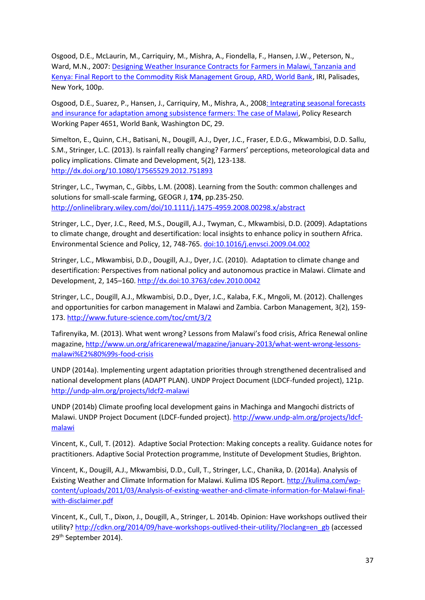Osgood, D.E., McLaurin, M., Carriquiry, M., Mishra, A., Fiondella, F., Hansen, J.W., Peterson, N., Ward, M.N., 2007: Designing Weather Insurance Contracts for Farmers in Malawi, Tanzania and Kenya: Final Report to the Commodity Risk Management Group, ARD, World Bank, IRI, Palisades, New York, 100p.

Osgood, D.E., Suarez, P., Hansen, J., Carriquiry, M., Mishra, A., 2008: Integrating seasonal forecasts and insurance for adaptation among subsistence farmers: The case of Malawi, Policy Research Working Paper 4651, World Bank, Washington DC, 29.

Simelton, E., Quinn, C.H., Batisani, N., Dougill, A.J., Dyer, J.C., Fraser, E.D.G., Mkwambisi, D.D. Sallu, S.M., Stringer, L.C. (2013). Is rainfall really changing? Farmers' perceptions, meteorological data and policy implications. Climate and Development, 5(2), 123-138. http://dx.doi.org/10.1080/17565529.2012.751893

Stringer, L.C., Twyman, C., Gibbs, L.M. (2008). Learning from the South: common challenges and solutions for small-scale farming, GEOGR J, **174**, pp.235-250. http://onlinelibrary.wiley.com/doi/10.1111/j.1475-4959.2008.00298.x/abstract

Stringer, L.C., Dyer, J.C., Reed, M.S., Dougill, A.J., Twyman, C., Mkwambisi, D.D. (2009). Adaptations to climate change, drought and desertification: local insights to enhance policy in southern Africa. Environmental Science and Policy, 12, 748-765. doi:10.1016/j.envsci.2009.04.002

Stringer, L.C., Mkwambisi, D.D., Dougill, A.J., Dyer, J.C. (2010). Adaptation to climate change and desertification: Perspectives from national policy and autonomous practice in Malawi. Climate and Development, 2, 145–160. http://dx.doi:10.3763/cdev.2010.0042

Stringer, L.C., Dougill, A.J., Mkwambisi, D.D., Dyer, J.C., Kalaba, F.K., Mngoli, M. (2012). Challenges and opportunities for carbon management in Malawi and Zambia. Carbon Management, 3(2), 159- 173. http://www.future-science.com/toc/cmt/3/2

Tafirenyika, M. (2013). What went wrong? Lessons from Malawi's food crisis, Africa Renewal online magazine, http://www.un.org/africarenewal/magazine/january-2013/what-went-wrong-lessons malawi%E2%80%99s-food-crisis

UNDP (2014a). Implementing urgent adaptation priorities through strengthened decentralised and national development plans (ADAPT PLAN). UNDP Project Document (LDCF-funded project), 121p. http://undp-alm.org/projects/ldcf2-malawi

UNDP (2014b) Climate proofing local development gains in Machinga and Mangochi districts of Malawi. UNDP Project Document (LDCF-funded project). http://www.undp-alm.org/projects/ldcf malawi

Vincent, K., Cull, T. (2012). Adaptive Social Protection: Making concepts a reality. Guidance notes for practitioners. Adaptive Social Protection programme, Institute of Development Studies, Brighton.

Vincent, K., Dougill, A.J., Mkwambisi, D.D., Cull, T., Stringer, L.C., Chanika, D. (2014a). Analysis of Existing Weather and Climate Information for Malawi. Kulima IDS Report. http://kulima.com/wp content/uploads/2011/03/Analysis-of-existing-weather-and-climate-information-for-Malawi-final with-disclaimer.pdf

Vincent, K., Cull, T., Dixon, J., Dougill, A., Stringer, L. 2014b. Opinion: Have workshops outlived their utility? http://cdkn.org/2014/09/have-workshops-outlived-their-utility/?loclang=en\_gb (accessed 29th September 2014).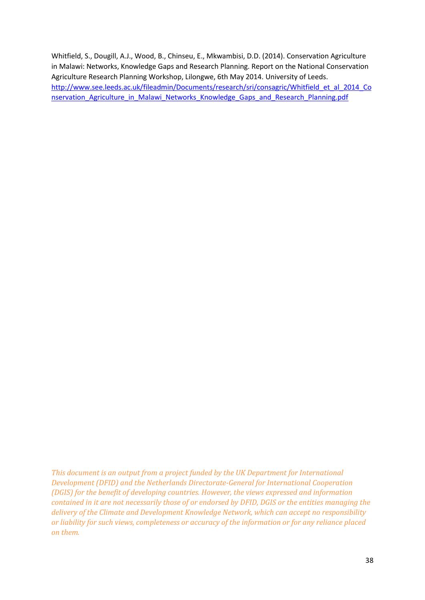Whitfield, S., Dougill, A.J., Wood, B., Chinseu, E., Mkwambisi, D.D. (2014). Conservation Agriculture in Malawi: Networks, Knowledge Gaps and Research Planning. Report on the National Conservation Agriculture Research Planning Workshop, Lilongwe, 6th May 2014. University of Leeds. http://www.see.leeds.ac.uk/fileadmin/Documents/research/sri/consagric/Whitfield et al 2014 Co nservation Agriculture in Malawi Networks Knowledge Gaps and Research Planning.pdf

*This document is an output from a project funded by the UK Department for International Development (DFID) and the Netherlands Directorate-General for International Cooperation (DGIS) for the benefit of developing countries. However, the views expressed and information contained in it are not necessarily those of or endorsed by DFID, DGIS or the entities managing the delivery of the Climate and Development Knowledge Network, which can accept no responsibility or liability for such views, completeness or accuracy of the information or for any reliance placed on them.*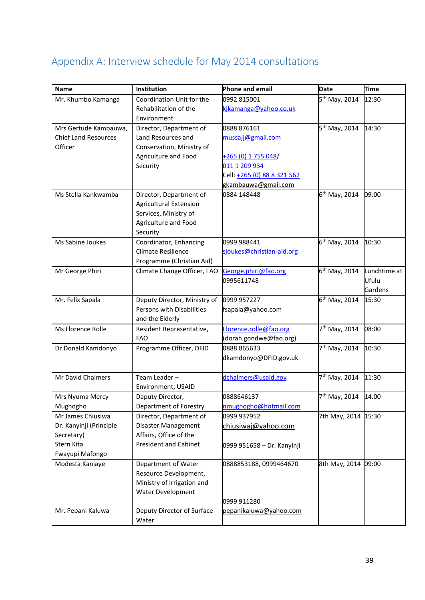## **Appendix A: Interview schedule for May 2014 consultations**

| Lunchtime at |
|--------------|
|              |
| Gardens      |
|              |
|              |
|              |
|              |
|              |
|              |
|              |
|              |
|              |
|              |
|              |
|              |
|              |
|              |
|              |
|              |
|              |
|              |
|              |
|              |
|              |
|              |
|              |
|              |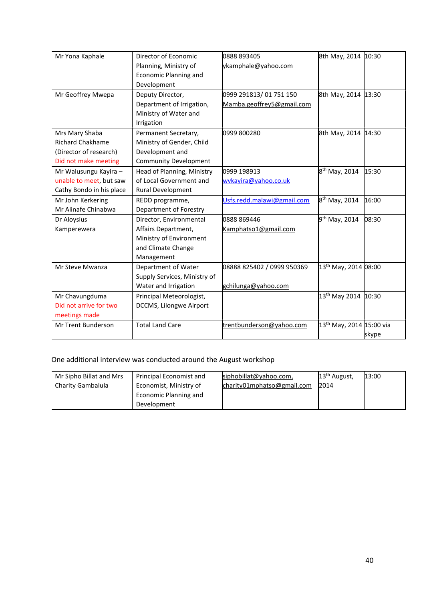| Mr Yona Kaphale          | Director of Economic         | 0888 893405                | 8th May, 2014 10:30                  |       |
|--------------------------|------------------------------|----------------------------|--------------------------------------|-------|
|                          | Planning, Ministry of        | ykamphale@yahoo.com        |                                      |       |
|                          | <b>Economic Planning and</b> |                            |                                      |       |
|                          | Development                  |                            |                                      |       |
| Mr Geoffrey Mwepa        | Deputy Director,             | 0999 291813/01 751 150     | 8th May, 2014 13:30                  |       |
|                          | Department of Irrigation,    | Mamba.geoffrey5@gmail.com  |                                      |       |
|                          | Ministry of Water and        |                            |                                      |       |
|                          | Irrigation                   |                            |                                      |       |
| Mrs Mary Shaba           | Permanent Secretary,         | 0999 800280                | 8th May, 2014 14:30                  |       |
| <b>Richard Chakhame</b>  | Ministry of Gender, Child    |                            |                                      |       |
| (Director of research)   | Development and              |                            |                                      |       |
| Did not make meeting     | <b>Community Development</b> |                            |                                      |       |
| Mr Walusungu Kayira -    | Head of Planning, Ministry   | 0999 198913                | 8 <sup>th</sup> May, 2014            | 15:30 |
| unable to meet, but saw  | of Local Government and      | wykayira@yahoo.co.uk       |                                      |       |
| Cathy Bondo in his place | <b>Rural Development</b>     |                            |                                      |       |
| Mr John Kerkering        | REDD programme,              | Usfs.redd.malawi@gmail.com | 8 <sup>th</sup> May, 2014            | 16:00 |
| Mr Alinafe Chinabwa      | Department of Forestry       |                            |                                      |       |
| Dr Aloysius              | Director, Environmental      | 0888 869446                | $9^{th}$ May, 2014                   | 08:30 |
| Kamperewera              | Affairs Department,          | Kamphatso1@gmail.com       |                                      |       |
|                          | Ministry of Environment      |                            |                                      |       |
|                          | and Climate Change           |                            |                                      |       |
|                          | Management                   |                            |                                      |       |
| Mr Steve Mwanza          | Department of Water          | 08888 825402 / 0999 950369 | 13 <sup>th</sup> May, 2014 08:00     |       |
|                          | Supply Services, Ministry of |                            |                                      |       |
|                          | Water and Irrigation         | gchilunga@yahoo.com        |                                      |       |
| Mr Chavungduma           | Principal Meteorologist,     |                            | 13 <sup>th</sup> May 2014 10:30      |       |
| Did not arrive for two   | DCCMS, Lilongwe Airport      |                            |                                      |       |
| meetings made            |                              |                            |                                      |       |
| Mr Trent Bunderson       | <b>Total Land Care</b>       | trentbunderson@yahoo.com   | 13 <sup>th</sup> May, 2014 15:00 via |       |
|                          |                              |                            |                                      | skype |

One additional interview was conducted around the August workshop

| Mr Sipho Billat and Mrs | Principal Economist and | siphobillat@yahoo.com,     | $13th$ August, | 13:00 |
|-------------------------|-------------------------|----------------------------|----------------|-------|
| Charity Gambalula       | Economist, Ministry of  | charity01mphatso@gmail.com | 2014           |       |
|                         | Economic Planning and   |                            |                |       |
|                         | Development             |                            |                |       |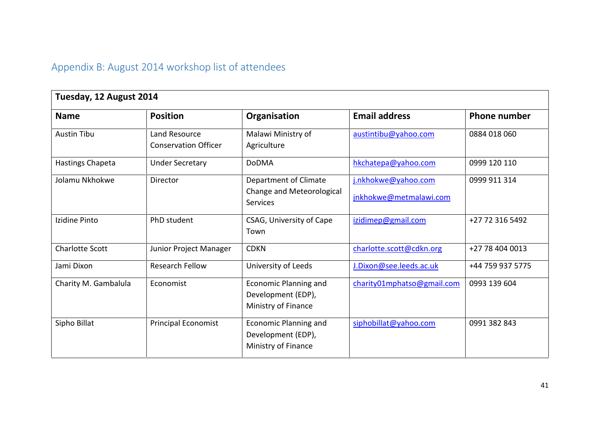## **Appendix B: August 2014 workshop list of attendees**

| Tuesday, 12 August 2014 |                                              |                                                                           |                                               |                     |
|-------------------------|----------------------------------------------|---------------------------------------------------------------------------|-----------------------------------------------|---------------------|
| <b>Name</b>             | <b>Position</b>                              | Organisation                                                              | <b>Email address</b>                          | <b>Phone number</b> |
| <b>Austin Tibu</b>      | Land Resource<br><b>Conservation Officer</b> | Malawi Ministry of<br>Agriculture                                         | austintibu@yahoo.com                          | 0884 018 060        |
| Hastings Chapeta        | <b>Under Secretary</b>                       | <b>DoDMA</b>                                                              | hkchatepa@yahoo.com                           | 0999 120 110        |
| Jolamu Nkhokwe          | Director                                     | Department of Climate<br>Change and Meteorological<br><b>Services</b>     | j.nkhokwe@yahoo.com<br>jnkhokwe@metmalawi.com | 0999 911 314        |
| Izidine Pinto           | PhD student                                  | CSAG, University of Cape<br>Town                                          | izidimep@gmail.com                            | +27 72 316 5492     |
| <b>Charlotte Scott</b>  | Junior Project Manager                       | <b>CDKN</b>                                                               | charlotte.scott@cdkn.org                      | +27 78 404 0013     |
| Jami Dixon              | <b>Research Fellow</b>                       | University of Leeds                                                       | J.Dixon@see.leeds.ac.uk                       | +44 759 937 5775    |
| Charity M. Gambalula    | Economist                                    | <b>Economic Planning and</b><br>Development (EDP),<br>Ministry of Finance | charity01mphatso@gmail.com                    | 0993 139 604        |
| Sipho Billat            | <b>Principal Economist</b>                   | <b>Economic Planning and</b><br>Development (EDP),<br>Ministry of Finance | siphobillat@yahoo.com                         | 0991 382 843        |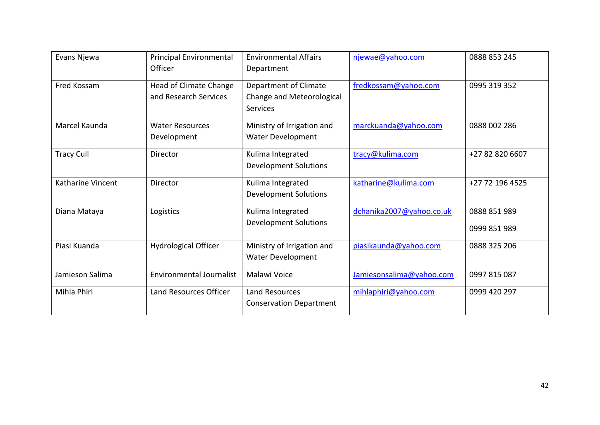| Evans Njewa       | <b>Principal Environmental</b>  | <b>Environmental Affairs</b>   | njewae@yahoo.com         | 0888 853 245    |
|-------------------|---------------------------------|--------------------------------|--------------------------|-----------------|
|                   | Officer                         | Department                     |                          |                 |
| Fred Kossam       | Head of Climate Change          | Department of Climate          | fredkossam@yahoo.com     | 0995 319 352    |
|                   | and Research Services           | Change and Meteorological      |                          |                 |
|                   |                                 | <b>Services</b>                |                          |                 |
| Marcel Kaunda     | <b>Water Resources</b>          | Ministry of Irrigation and     | marckuanda@yahoo.com     | 0888 002 286    |
|                   | Development                     | Water Development              |                          |                 |
| <b>Tracy Cull</b> | Director                        | Kulima Integrated              | tracy@kulima.com         | +27 82 820 6607 |
|                   |                                 | <b>Development Solutions</b>   |                          |                 |
| Katharine Vincent | Director                        | Kulima Integrated              | katharine@kulima.com     | +27 72 196 4525 |
|                   |                                 | <b>Development Solutions</b>   |                          |                 |
| Diana Mataya      | Logistics                       | Kulima Integrated              | dchanika2007@yahoo.co.uk | 0888 851 989    |
|                   |                                 | <b>Development Solutions</b>   |                          | 0999 851 989    |
| Piasi Kuanda      | <b>Hydrological Officer</b>     | Ministry of Irrigation and     | piasikaunda@yahoo.com    | 0888 325 206    |
|                   |                                 | Water Development              |                          |                 |
| Jamieson Salima   | <b>Environmental Journalist</b> | Malawi Voice                   | Jamiesonsalima@yahoo.com | 0997 815 087    |
| Mihla Phiri       | Land Resources Officer          | <b>Land Resources</b>          | mihlaphiri@yahoo.com     | 0999 420 297    |
|                   |                                 | <b>Conservation Department</b> |                          |                 |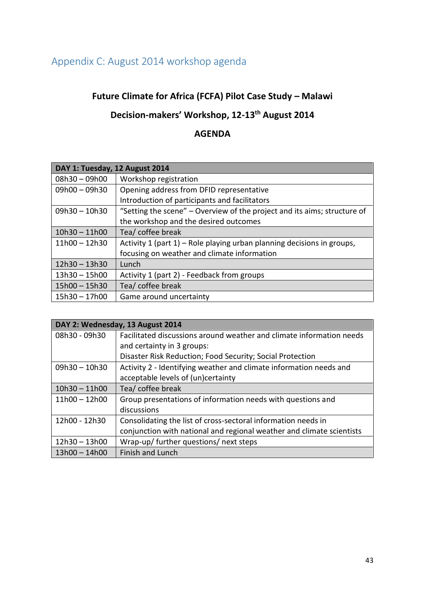## **Appendix C: August 2014 workshop agenda**

## **Future Climate for Africa (FCFA) Pilot Case Study – Malawi**

## **Decision-makers' Workshop, 12-13th August 2014**

## **AGENDA**

| DAY 1: Tuesday, 12 August 2014 |                                                                          |  |  |
|--------------------------------|--------------------------------------------------------------------------|--|--|
| $08h30 - 09h00$                | Workshop registration                                                    |  |  |
| $09h00 - 09h30$                | Opening address from DFID representative                                 |  |  |
|                                | Introduction of participants and facilitators                            |  |  |
| $09h30 - 10h30$                | "Setting the scene" - Overview of the project and its aims; structure of |  |  |
|                                | the workshop and the desired outcomes                                    |  |  |
| $10h30 - 11h00$                | Tea/ coffee break                                                        |  |  |
| $11h00 - 12h30$                | Activity 1 (part 1) – Role playing urban planning decisions in groups,   |  |  |
|                                | focusing on weather and climate information                              |  |  |
| $12h30 - 13h30$                | Lunch                                                                    |  |  |
| $13h30 - 15h00$                | Activity 1 (part 2) - Feedback from groups                               |  |  |
| $15h00 - 15h30$                | Tea/ coffee break                                                        |  |  |
| $15h30 - 17h00$                | Game around uncertainty                                                  |  |  |

| DAY 2: Wednesday, 13 August 2014 |                                                                       |  |  |
|----------------------------------|-----------------------------------------------------------------------|--|--|
| 08h30 - 09h30                    | Facilitated discussions around weather and climate information needs  |  |  |
|                                  | and certainty in 3 groups:                                            |  |  |
|                                  | Disaster Risk Reduction; Food Security; Social Protection             |  |  |
| $09h30 - 10h30$                  | Activity 2 - Identifying weather and climate information needs and    |  |  |
|                                  | acceptable levels of (un)certainty                                    |  |  |
| $10h30 - 11h00$                  | Tea/ coffee break                                                     |  |  |
| $11h00 - 12h00$                  | Group presentations of information needs with questions and           |  |  |
|                                  | discussions                                                           |  |  |
| 12h00 - 12h30                    | Consolidating the list of cross-sectoral information needs in         |  |  |
|                                  | conjunction with national and regional weather and climate scientists |  |  |
| $12h30 - 13h00$                  | Wrap-up/ further questions/ next steps                                |  |  |
| $13h00 - 14h00$                  | <b>Finish and Lunch</b>                                               |  |  |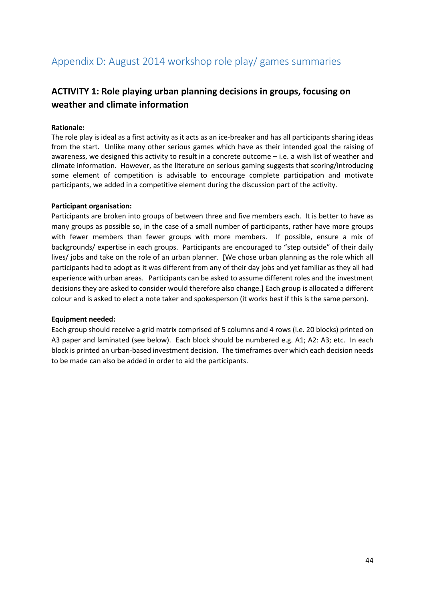## **Appendix D: August 2014 workshop role play/ games summaries**

## **ACTIVITY 1: Role playing urban planning decisions in groups, focusing on weather and climate information**

#### **Rationale:**

The role play is ideal as a first activity as it acts as an ice-breaker and has all participants sharing ideas from the start. Unlike many other serious games which have as their intended goal the raising of awareness, we designed this activity to result in a concrete outcome – i.e. a wish list of weather and climate information. However, as the literature on serious gaming suggests that scoring/introducing some element of competition is advisable to encourage complete participation and motivate participants, we added in a competitive element during the discussion part of the activity.

#### **Participant organisation:**

Participants are broken into groups of between three and five members each. It is better to have as many groups as possible so, in the case of a small number of participants, rather have more groups with fewer members than fewer groups with more members. If possible, ensure a mix of backgrounds/ expertise in each groups. Participants are encouraged to "step outside" of their daily lives/ jobs and take on the role of an urban planner. [We chose urban planning as the role which all participants had to adopt as it was different from any of their day jobs and yet familiar as they all had experience with urban areas. Participants can be asked to assume different roles and the investment decisions they are asked to consider would therefore also change.] Each group is allocated a different colour and is asked to elect a note taker and spokesperson (it works best if this is the same person).

#### **Equipment needed:**

Each group should receive a grid matrix comprised of 5 columns and 4 rows (i.e. 20 blocks) printed on A3 paper and laminated (see below). Each block should be numbered e.g. A1; A2: A3; etc. In each block is printed an urban-based investment decision. The timeframes over which each decision needs to be made can also be added in order to aid the participants.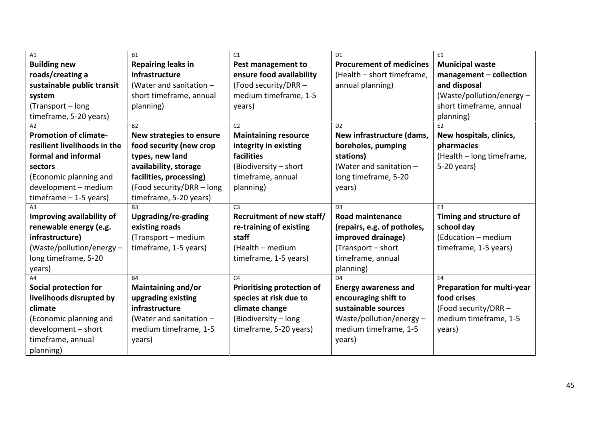| A1                           | <b>B1</b>                 | C1                                | D <sub>1</sub>                  | E1                                |
|------------------------------|---------------------------|-----------------------------------|---------------------------------|-----------------------------------|
| <b>Building new</b>          | <b>Repairing leaks in</b> | Pest management to                | <b>Procurement of medicines</b> | <b>Municipal waste</b>            |
| roads/creating a             | infrastructure            | ensure food availability          | (Health - short timeframe,      | management - collection           |
| sustainable public transit   | (Water and sanitation -   | (Food security/DRR -              | annual planning)                | and disposal                      |
| system                       | short timeframe, annual   | medium timeframe, 1-5             |                                 | (Waste/pollution/energy $-$       |
| (Transport - long            | planning)                 | years)                            |                                 | short timeframe, annual           |
| timeframe, 5-20 years)       |                           |                                   |                                 | planning)                         |
| А2                           | B2                        | C <sub>2</sub>                    | D <sub>2</sub>                  | E2                                |
| <b>Promotion of climate-</b> | New strategies to ensure  | <b>Maintaining resource</b>       | New infrastructure (dams,       | New hospitals, clinics,           |
| resilient livelihoods in the | food security (new crop   | integrity in existing             | boreholes, pumping              | pharmacies                        |
| formal and informal          | types, new land           | facilities                        | stations)                       | (Health - long timeframe,         |
| sectors                      | availability, storage     | (Biodiversity - short             | (Water and sanitation $-$       | 5-20 years)                       |
| (Economic planning and       | facilities, processing)   | timeframe, annual                 | long timeframe, 5-20            |                                   |
| development - medium         | (Food security/DRR - long | planning)                         | years)                          |                                   |
| $timeframe - 1-5 years)$     | timeframe, 5-20 years)    |                                   |                                 |                                   |
| AЗ                           | B <sub>3</sub>            | C <sub>3</sub>                    | D <sub>3</sub>                  | F <sub>3</sub>                    |
| Improving availability of    | Upgrading/re-grading      | Recruitment of new staff/         | <b>Road maintenance</b>         | Timing and structure of           |
| renewable energy (e.g.       | existing roads            | re-training of existing           | (repairs, e.g. of potholes,     | school day                        |
| infrastructure)              | (Transport – medium       | staff                             | improved drainage)              | (Education - medium               |
| (Waste/pollution/energy -    | timeframe, 1-5 years)     | (Health - medium                  | (Transport – short              | timeframe, 1-5 years)             |
| long timeframe, 5-20         |                           | timeframe, 1-5 years)             | timeframe, annual               |                                   |
| years)                       |                           |                                   | planning)                       |                                   |
| A4                           | <b>B4</b>                 | C <sub>4</sub>                    | D <sub>4</sub>                  | F4                                |
| <b>Social protection for</b> | Maintaining and/or        | <b>Prioritising protection of</b> | <b>Energy awareness and</b>     | <b>Preparation for multi-year</b> |
| livelihoods disrupted by     | upgrading existing        | species at risk due to            | encouraging shift to            | food crises                       |
| climate                      | infrastructure            | climate change                    | sustainable sources             | (Food security/DRR -              |
| (Economic planning and       | (Water and sanitation -   | (Biodiversity - long              | Waste/pollution/energy-         | medium timeframe, 1-5             |
| development - short          | medium timeframe, 1-5     | timeframe, 5-20 years)            | medium timeframe, 1-5           | years)                            |
| timeframe, annual            | years)                    |                                   | years)                          |                                   |
| planning)                    |                           |                                   |                                 |                                   |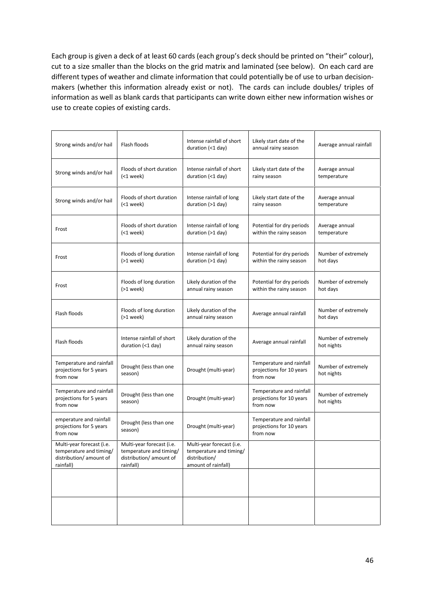Each group is given a deck of at least 60 cards (each group's deck should be printed on "their" colour), cut to a size smaller than the blocks on the grid matrix and laminated (see below). On each card are different types of weather and climate information that could potentially be of use to urban decision makers (whether this information already exist or not). The cards can include doubles/ triples of information as well as blank cards that participants can write down either new information wishes or use to create copies of existing cards.

| Strong winds and/or hail                                                                    | Flash floods                                                                                 | Intense rainfall of short<br>duration $($ $1$ day)                                           | Likely start date of the<br>annual rainy season                  | Average annual rainfall           |
|---------------------------------------------------------------------------------------------|----------------------------------------------------------------------------------------------|----------------------------------------------------------------------------------------------|------------------------------------------------------------------|-----------------------------------|
| Strong winds and/or hail                                                                    | Floods of short duration<br>$(1 week)$                                                       | Intense rainfall of short<br>duration (<1 day)                                               | Likely start date of the<br>rainy season                         | Average annual<br>temperature     |
| Strong winds and/or hail                                                                    | Floods of short duration<br>$(1 week)$                                                       | Intense rainfall of long<br>duration (>1 day)                                                | Likely start date of the<br>rainy season                         | Average annual<br>temperature     |
| Frost                                                                                       | Floods of short duration<br>$(1 week)$                                                       | Intense rainfall of long<br>duration (>1 day)                                                | Potential for dry periods<br>within the rainy season             | Average annual<br>temperature     |
| Frost                                                                                       | Floods of long duration<br>$(>1$ week)                                                       | Intense rainfall of long<br>duration (>1 day)                                                | Potential for dry periods<br>within the rainy season             | Number of extremely<br>hot days   |
| Frost                                                                                       | Floods of long duration<br>$(>1$ week)                                                       | Likely duration of the<br>annual rainy season                                                | Potential for dry periods<br>within the rainy season             | Number of extremely<br>hot days   |
| Flash floods                                                                                | Floods of long duration<br>$(>1$ week)                                                       | Likely duration of the<br>annual rainy season                                                | Average annual rainfall                                          | Number of extremely<br>hot days   |
| Flash floods                                                                                | Intense rainfall of short<br>duration (<1 day)                                               | Likely duration of the<br>annual rainy season                                                | Average annual rainfall                                          | Number of extremely<br>hot nights |
| Temperature and rainfall<br>projections for 5 years<br>from now                             | Drought (less than one<br>season)                                                            | Drought (multi-year)                                                                         | Temperature and rainfall<br>projections for 10 years<br>from now | Number of extremely<br>hot nights |
| Temperature and rainfall<br>projections for 5 years<br>from now                             | Drought (less than one<br>season)                                                            | Drought (multi-year)                                                                         | Temperature and rainfall<br>projections for 10 years<br>from now | Number of extremely<br>hot nights |
| emperature and rainfall<br>projections for 5 years<br>from now                              | Drought (less than one<br>season)                                                            | Drought (multi-year)                                                                         | Temperature and rainfall<br>projections for 10 years<br>from now |                                   |
| Multi-year forecast (i.e.<br>temperature and timing/<br>distribution/amount of<br>rainfall) | Multi-year forecast (i.e.<br>temperature and timing/<br>distribution/ amount of<br>rainfall) | Multi-year forecast (i.e.<br>temperature and timing/<br>distribution/<br>amount of rainfall) |                                                                  |                                   |
|                                                                                             |                                                                                              |                                                                                              |                                                                  |                                   |
|                                                                                             |                                                                                              |                                                                                              |                                                                  |                                   |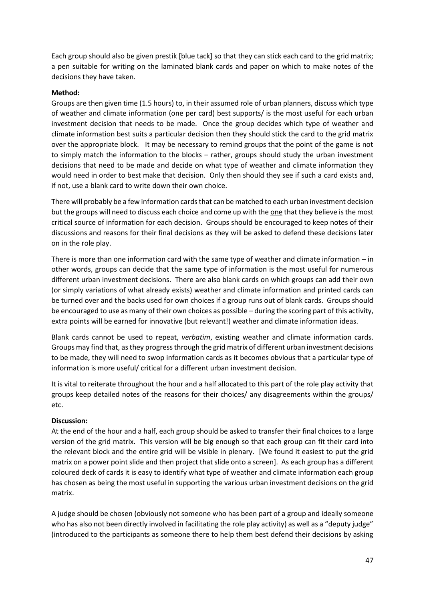Each group should also be given prestik [blue tack] so that they can stick each card to the grid matrix; a pen suitable for writing on the laminated blank cards and paper on which to make notes of the decisions they have taken.

#### **Method:**

Groups are then given time (1.5 hours) to, in their assumed role of urban planners, discuss which type of weather and climate information (one per card) best supports/ is the most useful for each urban investment decision that needs to be made. Once the group decides which type of weather and climate information best suits a particular decision then they should stick the card to the grid matrix over the appropriate block. It may be necessary to remind groups that the point of the game is not to simply match the information to the blocks – rather, groups should study the urban investment decisions that need to be made and decide on what type of weather and climate information they would need in order to best make that decision. Only then should they see if such a card exists and, if not, use a blank card to write down their own choice.

There will probably be a few information cards that can be matched to each urban investment decision but the groups will need to discuss each choice and come up with the one that they believe is the most critical source of information for each decision. Groups should be encouraged to keep notes of their discussions and reasons for their final decisions as they will be asked to defend these decisions later on in the role play.

There is more than one information card with the same type of weather and climate information  $-$  in other words, groups can decide that the same type of information is the most useful for numerous different urban investment decisions. There are also blank cards on which groups can add their own (or simply variations of what already exists) weather and climate information and printed cards can be turned over and the backs used for own choices if a group runs out of blank cards. Groups should be encouraged to use as many of their own choices as possible – during the scoring part of this activity, extra points will be earned for innovative (but relevant!) weather and climate information ideas.

Blank cards cannot be used to repeat, *verbatim*, existing weather and climate information cards. Groups may find that, as they progress through the grid matrix of different urban investment decisions to be made, they will need to swop information cards as it becomes obvious that a particular type of information is more useful/ critical for a different urban investment decision.

It is vital to reiterate throughout the hour and a half allocated to this part of the role play activity that groups keep detailed notes of the reasons for their choices/ any disagreements within the groups/ etc.

#### **Discussion:**

At the end of the hour and a half, each group should be asked to transfer their final choices to a large version of the grid matrix. This version will be big enough so that each group can fit their card into the relevant block and the entire grid will be visible in plenary. [We found it easiest to put the grid matrix on a power point slide and then project that slide onto a screen]. As each group has a different coloured deck of cards it is easy to identify what type of weather and climate information each group has chosen as being the most useful in supporting the various urban investment decisions on the grid matrix.

A judge should be chosen (obviously not someone who has been part of a group and ideally someone who has also not been directly involved in facilitating the role play activity) as well as a "deputy judge" (introduced to the participants as someone there to help them best defend their decisions by asking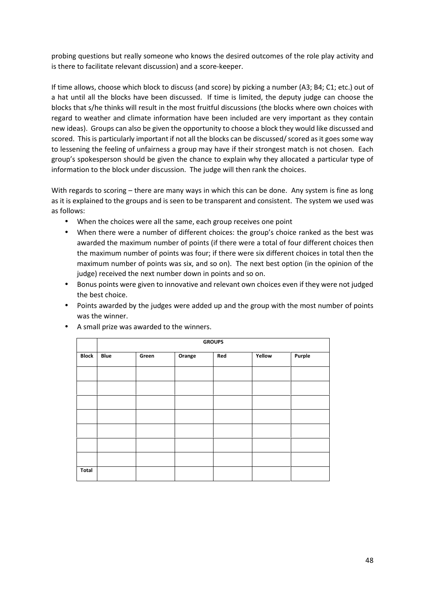probing questions but really someone who knows the desired outcomes of the role play activity and is there to facilitate relevant discussion) and a score-keeper.

If time allows, choose which block to discuss (and score) by picking a number (A3; B4; C1; etc.) out of a hat until all the blocks have been discussed. If time is limited, the deputy judge can choose the blocks that s/he thinks will result in the most fruitful discussions (the blocks where own choices with regard to weather and climate information have been included are very important as they contain new ideas). Groups can also be given the opportunity to choose a block they would like discussed and scored. This is particularly important if not all the blocks can be discussed/ scored as it goes some way to lessening the feeling of unfairness a group may have if their strongest match is not chosen. Each group's spokesperson should be given the chance to explain why they allocated a particular type of information to the block under discussion. The judge will then rank the choices.

With regards to scoring – there are many ways in which this can be done. Any system is fine as long as it is explained to the groups and is seen to be transparent and consistent. The system we used was as follows:

- When the choices were all the same, each group receives one point
- When there were a number of different choices: the group's choice ranked as the best was awarded the maximum number of points (if there were a total of four different choices then the maximum number of points was four; if there were six different choices in total then the maximum number of points was six, and so on). The next best option (in the opinion of the judge) received the next number down in points and so on.
- Bonus points were given to innovative and relevant own choices even if they were not judged the best choice.
- Points awarded by the judges were added up and the group with the most number of points was the winner.

|              | <b>GROUPS</b> |       |        |     |        |        |
|--------------|---------------|-------|--------|-----|--------|--------|
| <b>Block</b> | <b>Blue</b>   | Green | Orange | Red | Yellow | Purple |
|              |               |       |        |     |        |        |
|              |               |       |        |     |        |        |
|              |               |       |        |     |        |        |
|              |               |       |        |     |        |        |
|              |               |       |        |     |        |        |
|              |               |       |        |     |        |        |
|              |               |       |        |     |        |        |
|              |               |       |        |     |        |        |
| Total        |               |       |        |     |        |        |

A small prize was awarded to the winners.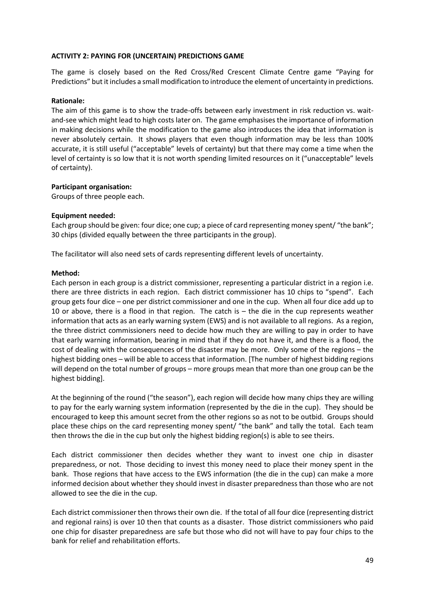#### **ACTIVITY 2: PAYING FOR (UNCERTAIN) PREDICTIONS GAME**

The game is closely based on the Red Cross/Red Crescent Climate Centre game "Paying for Predictions" but it includes a small modification to introduce the element of uncertainty in predictions.

#### **Rationale:**

The aim of this game is to show the trade-offs between early investment in risk reduction vs. wait and-see which might lead to high costs later on. The game emphasises the importance of information in making decisions while the modification to the game also introduces the idea that information is never absolutely certain. It shows players that even though information may be less than 100% accurate, it is still useful ("acceptable" levels of certainty) but that there may come a time when the level of certainty is so low that it is not worth spending limited resources on it ("unacceptable" levels of certainty).

#### **Participant organisation:**

Groups of three people each.

#### **Equipment needed:**

Each group should be given: four dice; one cup; a piece of card representing money spent/ "the bank"; 30 chips (divided equally between the three participants in the group).

The facilitator will also need sets of cards representing different levels of uncertainty.

#### **Method:**

Each person in each group is a district commissioner, representing a particular district in a region i.e. there are three districts in each region. Each district commissioner has 10 chips to "spend". Each group gets four dice – one per district commissioner and one in the cup. When all four dice add up to 10 or above, there is a flood in that region. The catch is – the die in the cup represents weather information that acts as an early warning system (EWS) and is not available to all regions. As a region, the three district commissioners need to decide how much they are willing to pay in order to have that early warning information, bearing in mind that if they do not have it, and there is a flood, the cost of dealing with the consequences of the disaster may be more. Only some of the regions – the highest bidding ones – will be able to access that information. [The number of highest bidding regions will depend on the total number of groups – more groups mean that more than one group can be the highest bidding].

At the beginning of the round ("the season"), each region will decide how many chips they are willing to pay for the early warning system information (represented by the die in the cup). They should be encouraged to keep this amount secret from the other regions so as not to be outbid. Groups should place these chips on the card representing money spent/ "the bank" and tally the total. Each team then throws the die in the cup but only the highest bidding region(s) is able to see theirs.

Each district commissioner then decides whether they want to invest one chip in disaster preparedness, or not. Those deciding to invest this money need to place their money spent in the bank. Those regions that have access to the EWS information (the die in the cup) can make a more informed decision about whether they should invest in disaster preparedness than those who are not allowed to see the die in the cup.

Each district commissioner then throws their own die. If the total of all four dice (representing district and regional rains) is over 10 then that counts as a disaster. Those district commissioners who paid one chip for disaster preparedness are safe but those who did not will have to pay four chips to the bank for relief and rehabilitation efforts.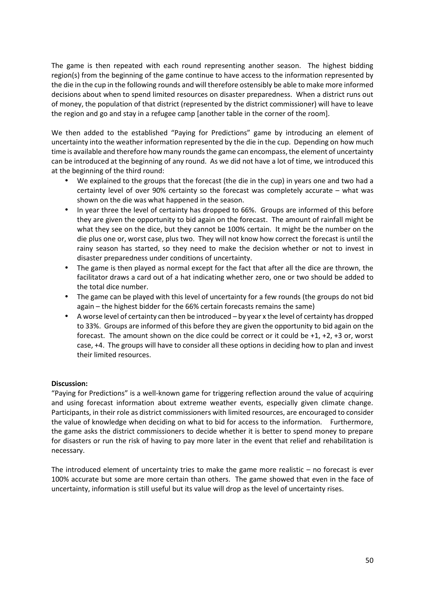The game is then repeated with each round representing another season. The highest bidding region(s) from the beginning of the game continue to have access to the information represented by the die in the cup in the following rounds and will therefore ostensibly be able to make more informed decisions about when to spend limited resources on disaster preparedness. When a district runs out of money, the population of that district (represented by the district commissioner) will have to leave the region and go and stay in a refugee camp [another table in the corner of the room].

We then added to the established "Paying for Predictions" game by introducing an element of uncertainty into the weather information represented by the die in the cup. Depending on how much time is available and therefore how many rounds the game can encompass, the element of uncertainty can be introduced at the beginning of any round. As we did not have a lot of time, we introduced this at the beginning of the third round:

- We explained to the groups that the forecast (the die in the cup) in years one and two had a certainty level of over 90% certainty so the forecast was completely accurate – what was shown on the die was what happened in the season.
- In year three the level of certainty has dropped to 66%. Groups are informed of this before they are given the opportunity to bid again on the forecast. The amount of rainfall might be what they see on the dice, but they cannot be 100% certain. It might be the number on the die plus one or, worst case, plus two. They will not know how correct the forecast is until the rainy season has started, so they need to make the decision whether or not to invest in disaster preparedness under conditions of uncertainty.
- The game is then played as normal except for the fact that after all the dice are thrown, the facilitator draws a card out of a hat indicating whether zero, one or two should be added to the total dice number.
- The game can be played with this level of uncertainty for a few rounds (the groups do not bid again – the highest bidder for the 66% certain forecasts remains the same)
- A worse level of certainty can then be introduced by year x the level of certainty has dropped to 33%. Groups are informed of this before they are given the opportunity to bid again on the forecast. The amount shown on the dice could be correct or it could be +1, +2, +3 or, worst case, +4. The groups will have to consider all these options in deciding how to plan and invest their limited resources.

#### **Discussion:**

"Paying for Predictions" is a well-known game for triggering reflection around the value of acquiring and using forecast information about extreme weather events, especially given climate change. Participants, in their role as district commissioners with limited resources, are encouraged to consider the value of knowledge when deciding on what to bid for access to the information. Furthermore, the game asks the district commissioners to decide whether it is better to spend money to prepare for disasters or run the risk of having to pay more later in the event that relief and rehabilitation is necessary.

The introduced element of uncertainty tries to make the game more realistic – no forecast is ever 100% accurate but some are more certain than others. The game showed that even in the face of uncertainty, information is still useful but its value will drop as the level of uncertainty rises.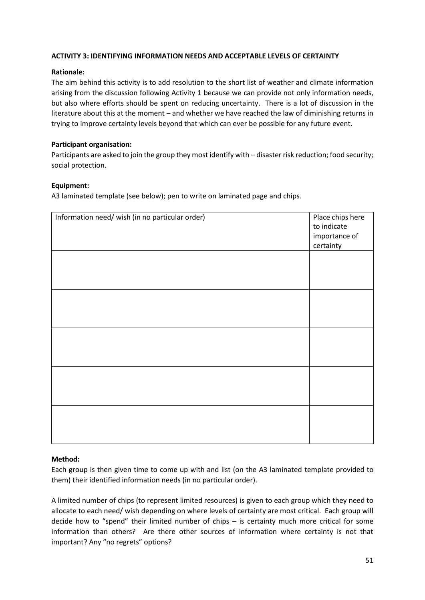#### **ACTIVITY 3: IDENTIFYING INFORMATION NEEDS AND ACCEPTABLE LEVELS OF CERTAINTY**

#### **Rationale:**

The aim behind this activity is to add resolution to the short list of weather and climate information arising from the discussion following Activity 1 because we can provide not only information needs, but also where efforts should be spent on reducing uncertainty. There is a lot of discussion in the literature about this at the moment – and whether we have reached the law of diminishing returns in trying to improve certainty levels beyond that which can ever be possible for any future event.

#### **Participant organisation:**

Participants are asked to join the group they most identify with – disaster risk reduction; food security; social protection.

#### **Equipment:**

A3 laminated template (see below); pen to write on laminated page and chips.

| Information need/ wish (in no particular order) | Place chips here<br>to indicate<br>importance of<br>certainty |
|-------------------------------------------------|---------------------------------------------------------------|
|                                                 |                                                               |
|                                                 |                                                               |
|                                                 |                                                               |
|                                                 |                                                               |
|                                                 |                                                               |

#### **Method:**

Each group is then given time to come up with and list (on the A3 laminated template provided to them) their identified information needs (in no particular order).

A limited number of chips (to represent limited resources) is given to each group which they need to allocate to each need/ wish depending on where levels of certainty are most critical. Each group will decide how to "spend" their limited number of chips – is certainty much more critical for some information than others? Are there other sources of information where certainty is not that important? Any "no regrets" options?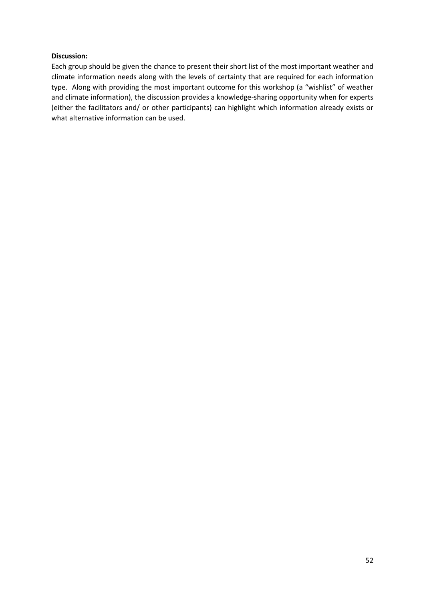#### **Discussion:**

Each group should be given the chance to present their short list of the most important weather and climate information needs along with the levels of certainty that are required for each information type. Along with providing the most important outcome for this workshop (a "wishlist" of weather and climate information), the discussion provides a knowledge-sharing opportunity when for experts (either the facilitators and/ or other participants) can highlight which information already exists or what alternative information can be used.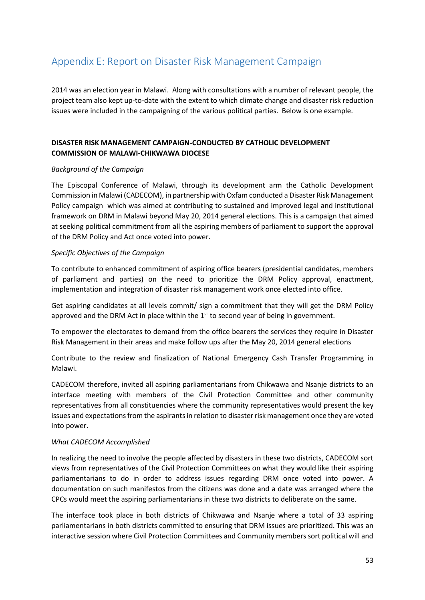## **Appendix E: Report on Disaster Risk Management Campaign**

2014 was an election year in Malawi. Along with consultations with a number of relevant people, the project team also kept up-to-date with the extent to which climate change and disaster risk reduction issues were included in the campaigning of the various political parties. Below is one example.

#### **DISASTER RISK MANAGEMENT CAMPAIGN-CONDUCTED BY CATHOLIC DEVELOPMENT COMMISSION OF MALAWI-CHIKWAWA DIOCESE**

#### *Background of the Campaign*

The Episcopal Conference of Malawi, through its development arm the Catholic Development Commission in Malawi (CADECOM), in partnership with Oxfam conducted a Disaster Risk Management Policy campaign which was aimed at contributing to sustained and improved legal and institutional framework on DRM in Malawi beyond May 20, 2014 general elections. This is a campaign that aimed at seeking political commitment from all the aspiring members of parliament to support the approval of the DRM Policy and Act once voted into power.

#### *Specific Objectives of the Campaign*

To contribute to enhanced commitment of aspiring office bearers (presidential candidates, members of parliament and parties) on the need to prioritize the DRM Policy approval, enactment, implementation and integration of disaster risk management work once elected into office.

Get aspiring candidates at all levels commit/ sign a commitment that they will get the DRM Policy approved and the DRM Act in place within the  $1<sup>st</sup>$  to second year of being in government.

To empower the electorates to demand from the office bearers the services they require in Disaster Risk Management in their areas and make follow ups after the May 20, 2014 general elections

Contribute to the review and finalization of National Emergency Cash Transfer Programming in Malawi.

CADECOM therefore, invited all aspiring parliamentarians from Chikwawa and Nsanje districts to an interface meeting with members of the Civil Protection Committee and other community representatives from all constituencies where the community representatives would present the key issues and expectations from the aspirants in relation to disaster risk management once they are voted into power.

#### *What CADECOM Accomplished*

In realizing the need to involve the people affected by disasters in these two districts, CADECOM sort views from representatives of the Civil Protection Committees on what they would like their aspiring parliamentarians to do in order to address issues regarding DRM once voted into power. A documentation on such manifestos from the citizens was done and a date was arranged where the CPCs would meet the aspiring parliamentarians in these two districts to deliberate on the same.

The interface took place in both districts of Chikwawa and Nsanje where a total of 33 aspiring parliamentarians in both districts committed to ensuring that DRM issues are prioritized. This was an interactive session where Civil Protection Committees and Community members sort political will and